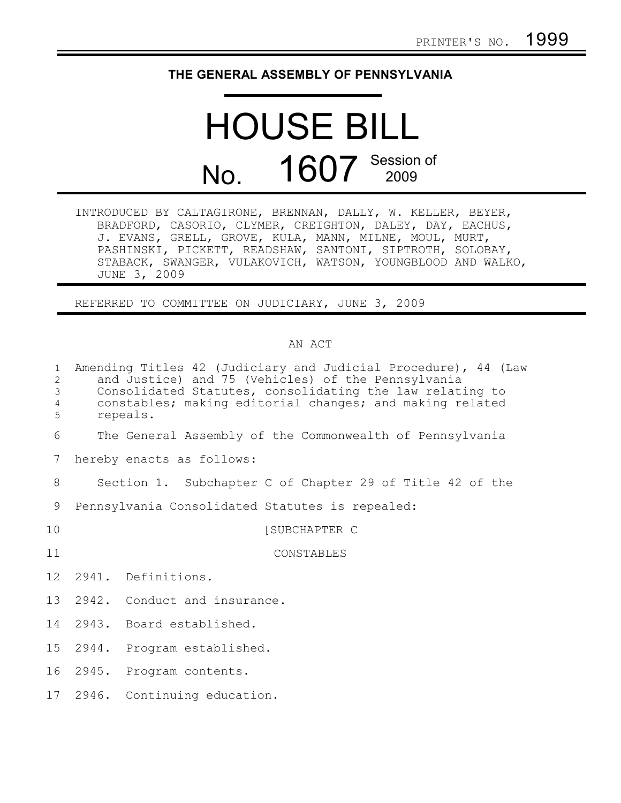## **THE GENERAL ASSEMBLY OF PENNSYLVANIA**

## HOUSE BILL No. 1607 Session of

| INTRODUCED BY CALTAGIRONE, BRENNAN, DALLY, W. KELLER, BEYER, |  |
|--------------------------------------------------------------|--|
| BRADFORD, CASORIO, CLYMER, CREIGHTON, DALEY, DAY, EACHUS,    |  |
| J. EVANS, GRELL, GROVE, KULA, MANN, MILNE, MOUL, MURT,       |  |
| PASHINSKI, PICKETT, READSHAW, SANTONI, SIPTROTH, SOLOBAY,    |  |
| STABACK, SWANGER, VULAKOVICH, WATSON, YOUNGBLOOD AND WALKO,  |  |
| JUNE 3, 2009                                                 |  |

REFERRED TO COMMITTEE ON JUDICIARY, JUNE 3, 2009

## AN ACT

| $\mathbf{1}$<br>2<br>$\mathfrak{Z}$<br>$\overline{4}$<br>5 | Amending Titles 42 (Judiciary and Judicial Procedure), 44 (Law<br>and Justice) and 75 (Vehicles) of the Pennsylvania<br>Consolidated Statutes, consolidating the law relating to<br>constables; making editorial changes; and making related<br>repeals. |
|------------------------------------------------------------|----------------------------------------------------------------------------------------------------------------------------------------------------------------------------------------------------------------------------------------------------------|
| 6                                                          | The General Assembly of the Commonwealth of Pennsylvania                                                                                                                                                                                                 |
| $7\phantom{.0}$                                            | hereby enacts as follows:                                                                                                                                                                                                                                |
| 8                                                          | Section 1. Subchapter C of Chapter 29 of Title 42 of the                                                                                                                                                                                                 |
| 9                                                          | Pennsylvania Consolidated Statutes is repealed:                                                                                                                                                                                                          |
| 10                                                         | [SUBCHAPTER C                                                                                                                                                                                                                                            |
| 11                                                         | CONSTABLES                                                                                                                                                                                                                                               |
|                                                            | 12 2941. Definitions.                                                                                                                                                                                                                                    |
| 13                                                         | 2942. Conduct and insurance.                                                                                                                                                                                                                             |
| 14                                                         | 2943. Board established.                                                                                                                                                                                                                                 |
| 15                                                         | 2944. Program established.                                                                                                                                                                                                                               |
| 16                                                         | 2945. Program contents.                                                                                                                                                                                                                                  |
|                                                            | 17 2946. Continuing education.                                                                                                                                                                                                                           |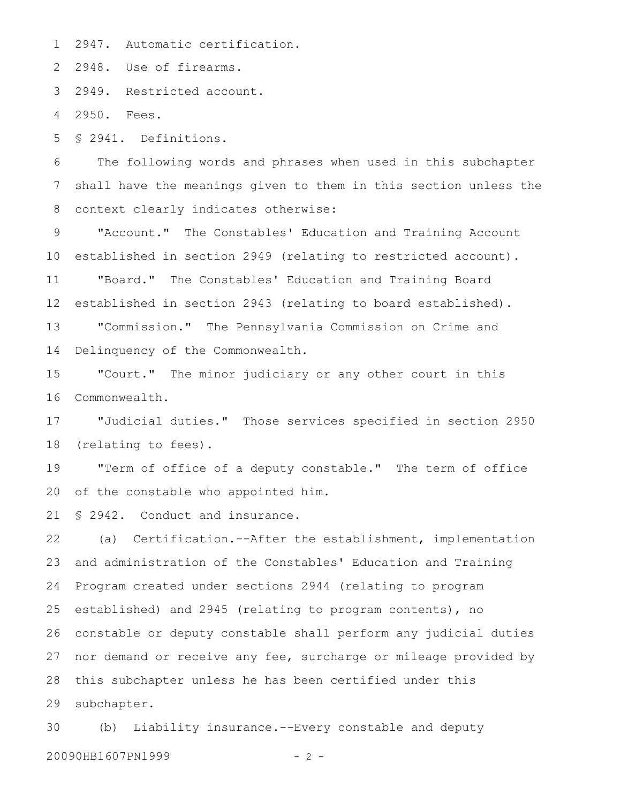2947. Automatic certification. 1

2948. Use of firearms. 2

2949. Restricted account. 3

2950. Fees. 4

§ 2941. Definitions. 5

The following words and phrases when used in this subchapter shall have the meanings given to them in this section unless the context clearly indicates otherwise: 6 7 8

"Account." The Constables' Education and Training Account established in section 2949 (relating to restricted account). "Board." The Constables' Education and Training Board established in section 2943 (relating to board established). "Commission." The Pennsylvania Commission on Crime and Delinquency of the Commonwealth. 9 10 11 12 13 14

"Court." The minor judiciary or any other court in this Commonwealth. 15 16

"Judicial duties." Those services specified in section 2950 (relating to fees). 17 18

"Term of office of a deputy constable." The term of office of the constable who appointed him. 19 20

§ 2942. Conduct and insurance. 21

(a) Certification.--After the establishment, implementation and administration of the Constables' Education and Training Program created under sections 2944 (relating to program established) and 2945 (relating to program contents), no constable or deputy constable shall perform any judicial duties nor demand or receive any fee, surcharge or mileage provided by this subchapter unless he has been certified under this subchapter. 22 23 24 25 26 27 28 29

(b) Liability insurance.--Every constable and deputy 20090HB1607PN1999 - 2 -30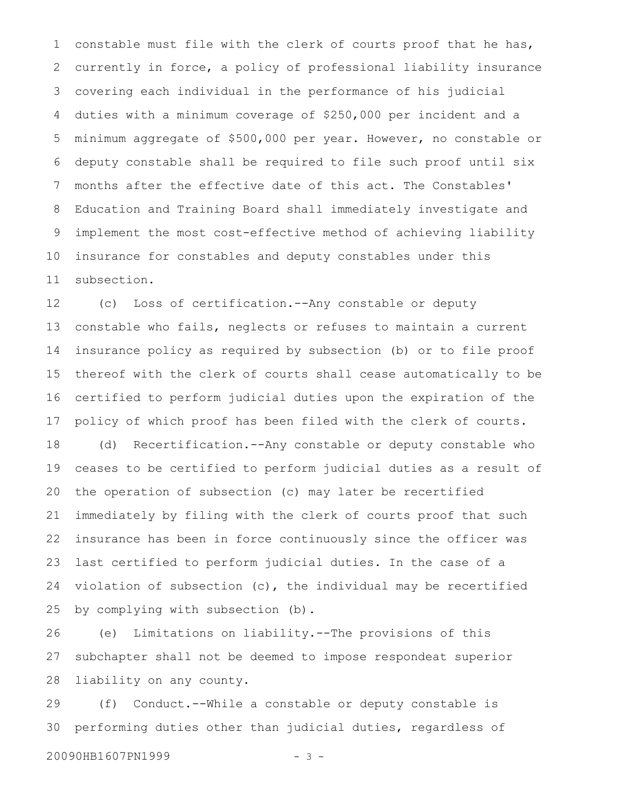constable must file with the clerk of courts proof that he has, currently in force, a policy of professional liability insurance covering each individual in the performance of his judicial duties with a minimum coverage of \$250,000 per incident and a minimum aggregate of \$500,000 per year. However, no constable or deputy constable shall be required to file such proof until six months after the effective date of this act. The Constables' Education and Training Board shall immediately investigate and implement the most cost-effective method of achieving liability insurance for constables and deputy constables under this subsection. 1 2 3 4 5 6 7 8 9 10 11

(c) Loss of certification.--Any constable or deputy constable who fails, neglects or refuses to maintain a current insurance policy as required by subsection (b) or to file proof thereof with the clerk of courts shall cease automatically to be certified to perform judicial duties upon the expiration of the policy of which proof has been filed with the clerk of courts. (d) Recertification.--Any constable or deputy constable who ceases to be certified to perform judicial duties as a result of the operation of subsection (c) may later be recertified immediately by filing with the clerk of courts proof that such insurance has been in force continuously since the officer was last certified to perform judicial duties. In the case of a violation of subsection (c), the individual may be recertified by complying with subsection (b). 12 13 14 15 16 17 18 19 20 21 22 23 24 25

(e) Limitations on liability.--The provisions of this subchapter shall not be deemed to impose respondeat superior liability on any county. 26 27 28

(f) Conduct.--While a constable or deputy constable is performing duties other than judicial duties, regardless of 29 30

20090HB1607PN1999 - 3 -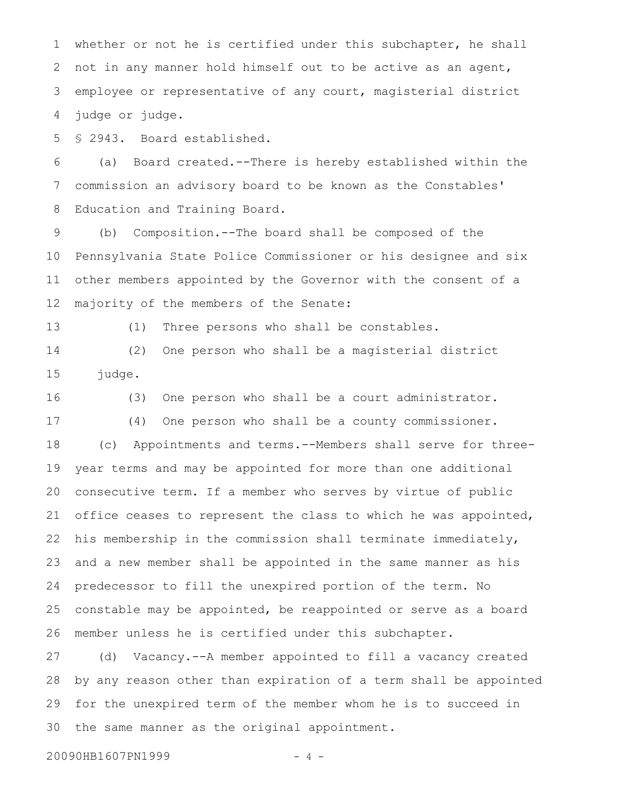whether or not he is certified under this subchapter, he shall not in any manner hold himself out to be active as an agent, employee or representative of any court, magisterial district judge or judge. 1 2 3 4

§ 2943. Board established. 5

(a) Board created.--There is hereby established within the commission an advisory board to be known as the Constables' Education and Training Board. 6 7 8

(b) Composition.--The board shall be composed of the Pennsylvania State Police Commissioner or his designee and six other members appointed by the Governor with the consent of a majority of the members of the Senate: 9 10 11 12

13

(1) Three persons who shall be constables.

(2) One person who shall be a magisterial district judge. 14 15

16

(3) One person who shall be a court administrator.

(4) One person who shall be a county commissioner. 17

(c) Appointments and terms.--Members shall serve for threeyear terms and may be appointed for more than one additional consecutive term. If a member who serves by virtue of public office ceases to represent the class to which he was appointed, his membership in the commission shall terminate immediately, and a new member shall be appointed in the same manner as his predecessor to fill the unexpired portion of the term. No constable may be appointed, be reappointed or serve as a board member unless he is certified under this subchapter. 18 19 20 21 22 23 24 25 26

(d) Vacancy.--A member appointed to fill a vacancy created by any reason other than expiration of a term shall be appointed for the unexpired term of the member whom he is to succeed in the same manner as the original appointment. 27 28 29 30

20090HB1607PN1999 - 4 -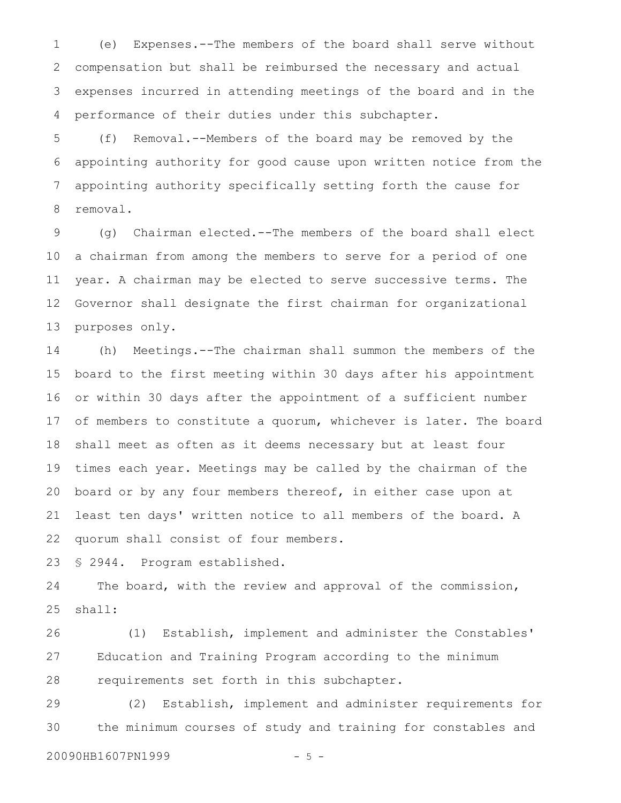(e) Expenses.--The members of the board shall serve without compensation but shall be reimbursed the necessary and actual expenses incurred in attending meetings of the board and in the performance of their duties under this subchapter. 1 2 3 4

(f) Removal.--Members of the board may be removed by the appointing authority for good cause upon written notice from the appointing authority specifically setting forth the cause for removal. 5 6 7 8

(g) Chairman elected.--The members of the board shall elect a chairman from among the members to serve for a period of one year. A chairman may be elected to serve successive terms. The Governor shall designate the first chairman for organizational purposes only. 9 10 11 12 13

(h) Meetings.--The chairman shall summon the members of the board to the first meeting within 30 days after his appointment or within 30 days after the appointment of a sufficient number of members to constitute a quorum, whichever is later. The board shall meet as often as it deems necessary but at least four times each year. Meetings may be called by the chairman of the board or by any four members thereof, in either case upon at least ten days' written notice to all members of the board. A quorum shall consist of four members. 14 15 16 17 18 19 20 21 22

§ 2944. Program established. 23

The board, with the review and approval of the commission, shall: 24 25

(1) Establish, implement and administer the Constables' Education and Training Program according to the minimum requirements set forth in this subchapter. 26 27 28

(2) Establish, implement and administer requirements for the minimum courses of study and training for constables and 29 30

20090HB1607PN1999 - 5 -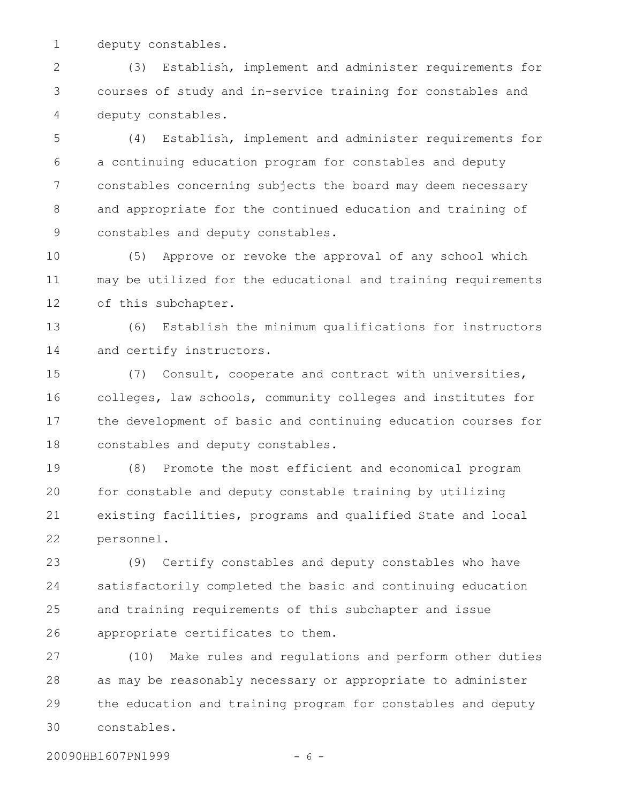deputy constables. 1

(3) Establish, implement and administer requirements for courses of study and in-service training for constables and deputy constables. 2 3 4

(4) Establish, implement and administer requirements for a continuing education program for constables and deputy constables concerning subjects the board may deem necessary and appropriate for the continued education and training of constables and deputy constables. 5 6 7 8 9

(5) Approve or revoke the approval of any school which may be utilized for the educational and training requirements of this subchapter. 10 11 12

(6) Establish the minimum qualifications for instructors and certify instructors. 13 14

(7) Consult, cooperate and contract with universities, colleges, law schools, community colleges and institutes for the development of basic and continuing education courses for constables and deputy constables. 15 16 17 18

(8) Promote the most efficient and economical program for constable and deputy constable training by utilizing existing facilities, programs and qualified State and local personnel. 19 20 21 22

(9) Certify constables and deputy constables who have satisfactorily completed the basic and continuing education and training requirements of this subchapter and issue appropriate certificates to them. 23 24 25 26

(10) Make rules and regulations and perform other duties as may be reasonably necessary or appropriate to administer the education and training program for constables and deputy constables. 27 28 29 30

20090HB1607PN1999 - 6 -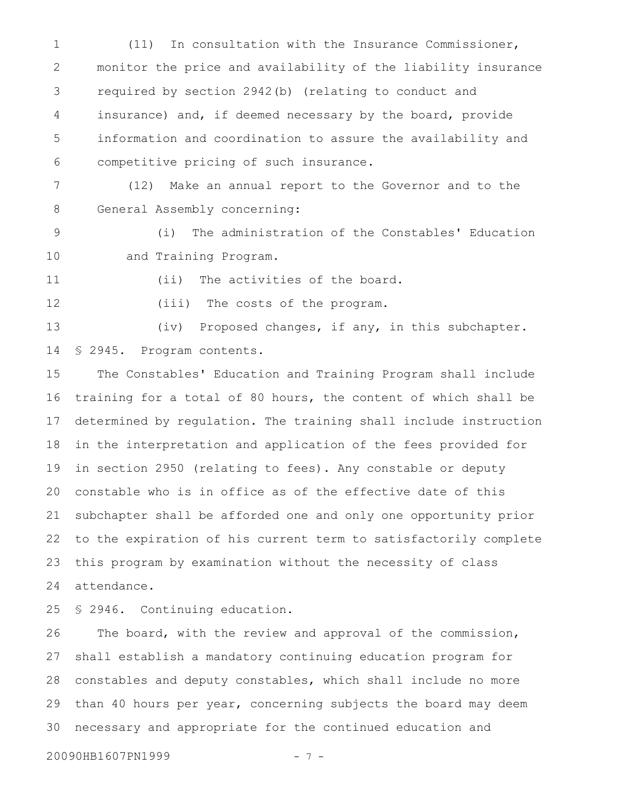(11) In consultation with the Insurance Commissioner, monitor the price and availability of the liability insurance required by section 2942(b) (relating to conduct and insurance) and, if deemed necessary by the board, provide information and coordination to assure the availability and competitive pricing of such insurance. 1 2 3 4 5 6

(12) Make an annual report to the Governor and to the General Assembly concerning: 7 8

(i) The administration of the Constables' Education and Training Program. 9 10

11

(ii) The activities of the board.

12

(iii) The costs of the program.

(iv) Proposed changes, if any, in this subchapter. § 2945. Program contents. 13 14

The Constables' Education and Training Program shall include training for a total of 80 hours, the content of which shall be determined by regulation. The training shall include instruction in the interpretation and application of the fees provided for in section 2950 (relating to fees). Any constable or deputy constable who is in office as of the effective date of this subchapter shall be afforded one and only one opportunity prior to the expiration of his current term to satisfactorily complete this program by examination without the necessity of class attendance. 15 16 17 18 19 20 21 22 23 24

§ 2946. Continuing education. 25

The board, with the review and approval of the commission, shall establish a mandatory continuing education program for constables and deputy constables, which shall include no more than 40 hours per year, concerning subjects the board may deem necessary and appropriate for the continued education and 26 27 28 29 30

20090HB1607PN1999 - 7 -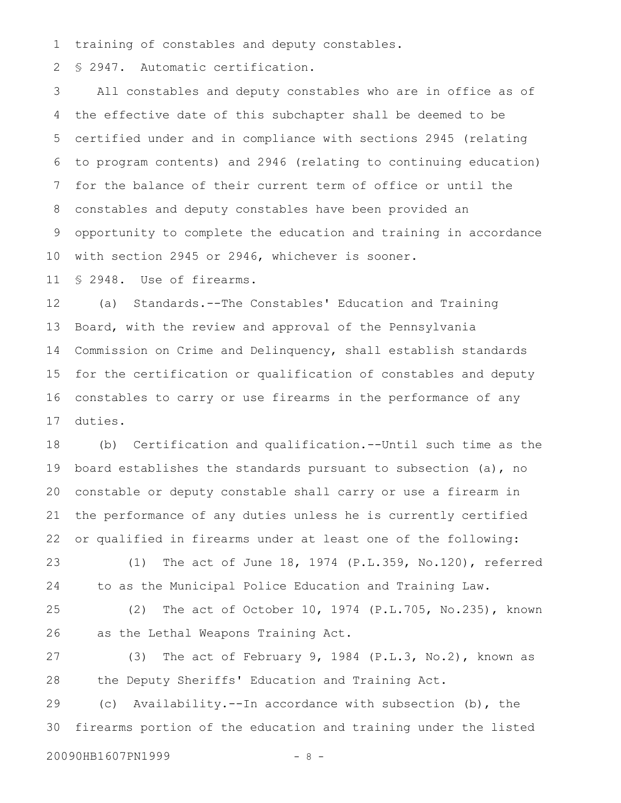training of constables and deputy constables. 1

§ 2947. Automatic certification. 2

All constables and deputy constables who are in office as of the effective date of this subchapter shall be deemed to be certified under and in compliance with sections 2945 (relating to program contents) and 2946 (relating to continuing education) for the balance of their current term of office or until the constables and deputy constables have been provided an opportunity to complete the education and training in accordance with section 2945 or 2946, whichever is sooner. 3 4 5 6 7 8 9 10

§ 2948. Use of firearms. 11

(a) Standards.--The Constables' Education and Training Board, with the review and approval of the Pennsylvania Commission on Crime and Delinquency, shall establish standards for the certification or qualification of constables and deputy constables to carry or use firearms in the performance of any duties. 12 13 14 15 16 17

(b) Certification and qualification.--Until such time as the board establishes the standards pursuant to subsection (a), no constable or deputy constable shall carry or use a firearm in the performance of any duties unless he is currently certified or qualified in firearms under at least one of the following: 18 19 20 21 22

(1) The act of June 18, 1974 (P.L.359, No.120), referred to as the Municipal Police Education and Training Law. 23 24

(2) The act of October 10, 1974 (P.L.705, No.235), known as the Lethal Weapons Training Act. 25 26

(3) The act of February 9, 1984 (P.L.3, No.2), known as the Deputy Sheriffs' Education and Training Act. 27 28

(c) Availability.--In accordance with subsection (b), the firearms portion of the education and training under the listed 29 30

20090HB1607PN1999 - 8 -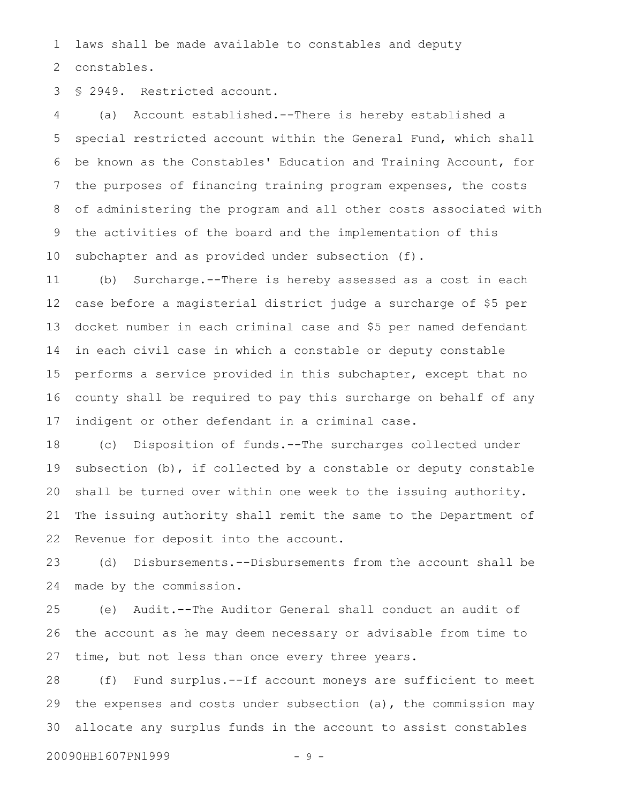laws shall be made available to constables and deputy 1

constables. 2

§ 2949. Restricted account. 3

(a) Account established.--There is hereby established a special restricted account within the General Fund, which shall be known as the Constables' Education and Training Account, for the purposes of financing training program expenses, the costs of administering the program and all other costs associated with the activities of the board and the implementation of this subchapter and as provided under subsection (f). 4 5 6 7 8 9 10

(b) Surcharge.--There is hereby assessed as a cost in each case before a magisterial district judge a surcharge of \$5 per docket number in each criminal case and \$5 per named defendant in each civil case in which a constable or deputy constable performs a service provided in this subchapter, except that no county shall be required to pay this surcharge on behalf of any indigent or other defendant in a criminal case. 11 12 13 14 15 16 17

(c) Disposition of funds.--The surcharges collected under subsection (b), if collected by a constable or deputy constable shall be turned over within one week to the issuing authority. The issuing authority shall remit the same to the Department of Revenue for deposit into the account. 18 19 20 21 22

(d) Disbursements.--Disbursements from the account shall be made by the commission. 23 24

(e) Audit.--The Auditor General shall conduct an audit of the account as he may deem necessary or advisable from time to time, but not less than once every three years. 25 26 27

(f) Fund surplus.--If account moneys are sufficient to meet the expenses and costs under subsection (a), the commission may allocate any surplus funds in the account to assist constables 28 29 30

20090HB1607PN1999 - 9 -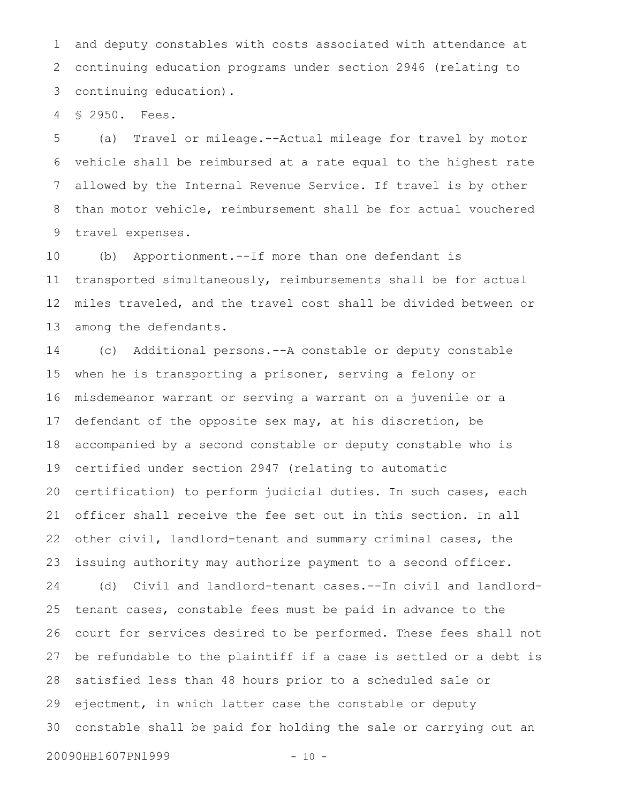and deputy constables with costs associated with attendance at continuing education programs under section 2946 (relating to continuing education). 1 2 3

§ 2950. Fees. 4

(a) Travel or mileage.--Actual mileage for travel by motor vehicle shall be reimbursed at a rate equal to the highest rate allowed by the Internal Revenue Service. If travel is by other than motor vehicle, reimbursement shall be for actual vouchered travel expenses. 5 6 7 8 9

(b) Apportionment.--If more than one defendant is transported simultaneously, reimbursements shall be for actual miles traveled, and the travel cost shall be divided between or among the defendants. 10 11 12 13

(c) Additional persons.--A constable or deputy constable when he is transporting a prisoner, serving a felony or misdemeanor warrant or serving a warrant on a juvenile or a defendant of the opposite sex may, at his discretion, be accompanied by a second constable or deputy constable who is certified under section 2947 (relating to automatic certification) to perform judicial duties. In such cases, each officer shall receive the fee set out in this section. In all other civil, landlord-tenant and summary criminal cases, the issuing authority may authorize payment to a second officer. (d) Civil and landlord-tenant cases.--In civil and landlordtenant cases, constable fees must be paid in advance to the court for services desired to be performed. These fees shall not be refundable to the plaintiff if a case is settled or a debt is satisfied less than 48 hours prior to a scheduled sale or ejectment, in which latter case the constable or deputy constable shall be paid for holding the sale or carrying out an 14 15 16 17 18 19 20 21 22 23 24 25 26 27 28 29 30

20090HB1607PN1999 - 10 -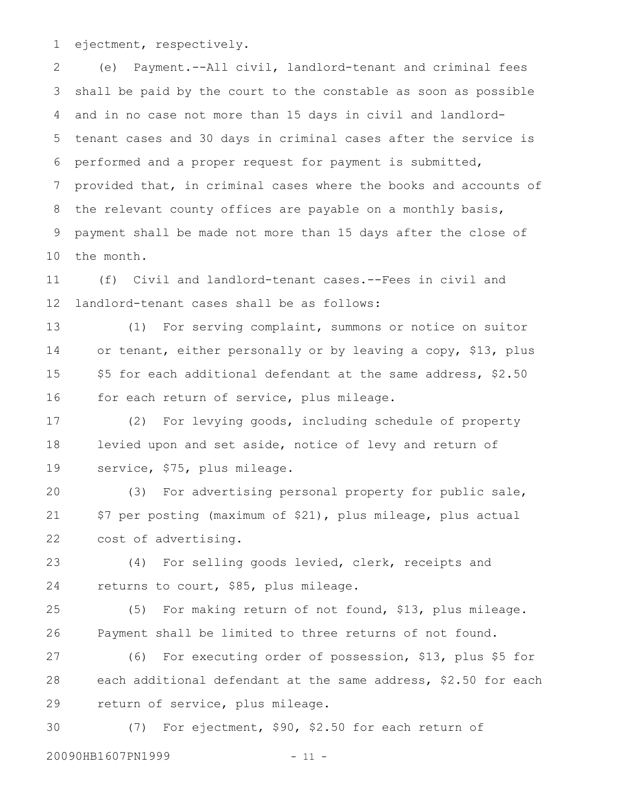ejectment, respectively. 1

(e) Payment.--All civil, landlord-tenant and criminal fees shall be paid by the court to the constable as soon as possible and in no case not more than 15 days in civil and landlordtenant cases and 30 days in criminal cases after the service is performed and a proper request for payment is submitted, provided that, in criminal cases where the books and accounts of the relevant county offices are payable on a monthly basis, payment shall be made not more than 15 days after the close of the month. 2 3 4 5 6 7 8 9 10

(f) Civil and landlord-tenant cases.--Fees in civil and landlord-tenant cases shall be as follows: 11 12

(1) For serving complaint, summons or notice on suitor or tenant, either personally or by leaving a copy, \$13, plus \$5 for each additional defendant at the same address, \$2.50 for each return of service, plus mileage. 13 14 15 16

(2) For levying goods, including schedule of property levied upon and set aside, notice of levy and return of service, \$75, plus mileage. 17 18 19

(3) For advertising personal property for public sale, \$7 per posting (maximum of \$21), plus mileage, plus actual cost of advertising. 20 21 22

(4) For selling goods levied, clerk, receipts and returns to court, \$85, plus mileage. 23 24

(5) For making return of not found, \$13, plus mileage. Payment shall be limited to three returns of not found. 25 26

(6) For executing order of possession, \$13, plus \$5 for each additional defendant at the same address, \$2.50 for each return of service, plus mileage. 27 28 29

(7) For ejectment, \$90, \$2.50 for each return of 20090HB1607PN1999 - 11 -30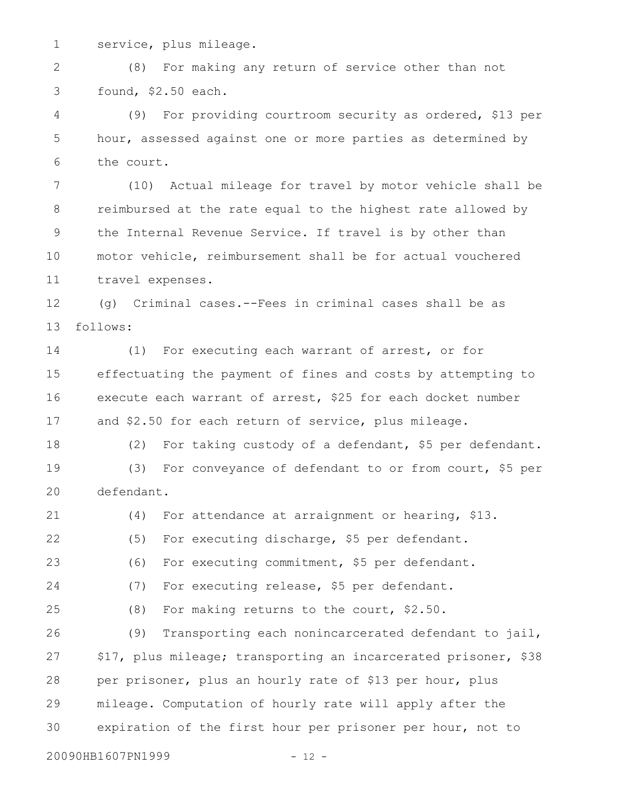service, plus mileage. 1

(8) For making any return of service other than not found, \$2.50 each. 2 3

(9) For providing courtroom security as ordered, \$13 per hour, assessed against one or more parties as determined by the court. 4 5 6

(10) Actual mileage for travel by motor vehicle shall be reimbursed at the rate equal to the highest rate allowed by the Internal Revenue Service. If travel is by other than motor vehicle, reimbursement shall be for actual vouchered travel expenses. 7 8 9 10 11

(g) Criminal cases.--Fees in criminal cases shall be as follows: 12 13

(1) For executing each warrant of arrest, or for effectuating the payment of fines and costs by attempting to execute each warrant of arrest, \$25 for each docket number and \$2.50 for each return of service, plus mileage. 14 15 16 17

(2) For taking custody of a defendant, \$5 per defendant. (3) For conveyance of defendant to or from court, \$5 per defendant. 18 19 20

(4) For attendance at arraignment or hearing, \$13. (5) For executing discharge, \$5 per defendant. 21 22

(6) For executing commitment, \$5 per defendant. 23

(7) For executing release, \$5 per defendant. 24

25

(8) For making returns to the court, \$2.50.

(9) Transporting each nonincarcerated defendant to jail, \$17, plus mileage; transporting an incarcerated prisoner, \$38 per prisoner, plus an hourly rate of \$13 per hour, plus mileage. Computation of hourly rate will apply after the expiration of the first hour per prisoner per hour, not to 26 27 28 29 30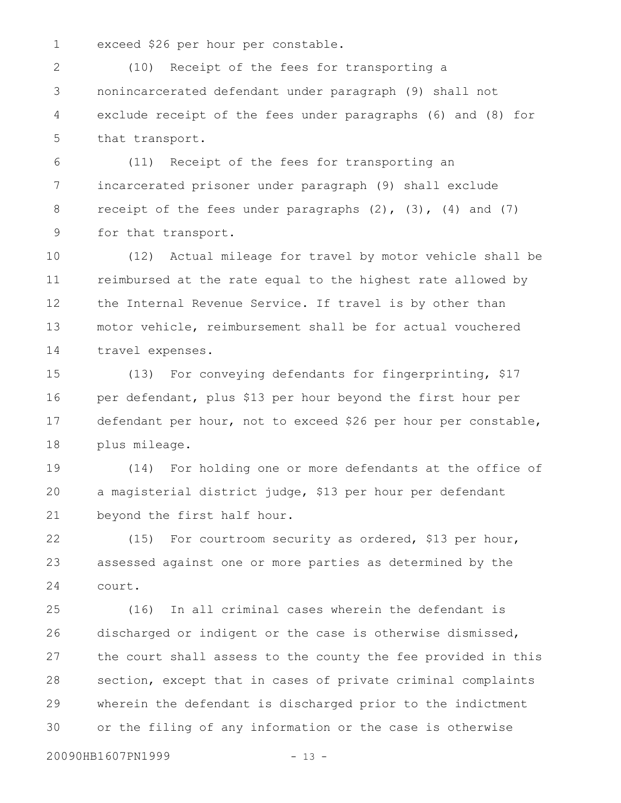exceed \$26 per hour per constable. 1

(10) Receipt of the fees for transporting a nonincarcerated defendant under paragraph (9) shall not exclude receipt of the fees under paragraphs (6) and (8) for that transport. 2 3 4 5

(11) Receipt of the fees for transporting an incarcerated prisoner under paragraph (9) shall exclude receipt of the fees under paragraphs  $(2)$ ,  $(3)$ ,  $(4)$  and  $(7)$ for that transport. 6 7 8 9

(12) Actual mileage for travel by motor vehicle shall be reimbursed at the rate equal to the highest rate allowed by the Internal Revenue Service. If travel is by other than motor vehicle, reimbursement shall be for actual vouchered travel expenses. 10 11 12 13 14

(13) For conveying defendants for fingerprinting, \$17 per defendant, plus \$13 per hour beyond the first hour per defendant per hour, not to exceed \$26 per hour per constable, plus mileage. 15 16 17 18

(14) For holding one or more defendants at the office of a magisterial district judge, \$13 per hour per defendant beyond the first half hour. 19 20 21

(15) For courtroom security as ordered, \$13 per hour, assessed against one or more parties as determined by the court. 22 23 24

(16) In all criminal cases wherein the defendant is discharged or indigent or the case is otherwise dismissed, the court shall assess to the county the fee provided in this section, except that in cases of private criminal complaints wherein the defendant is discharged prior to the indictment or the filing of any information or the case is otherwise 25 26 27 28 29 30

20090HB1607PN1999 - 13 -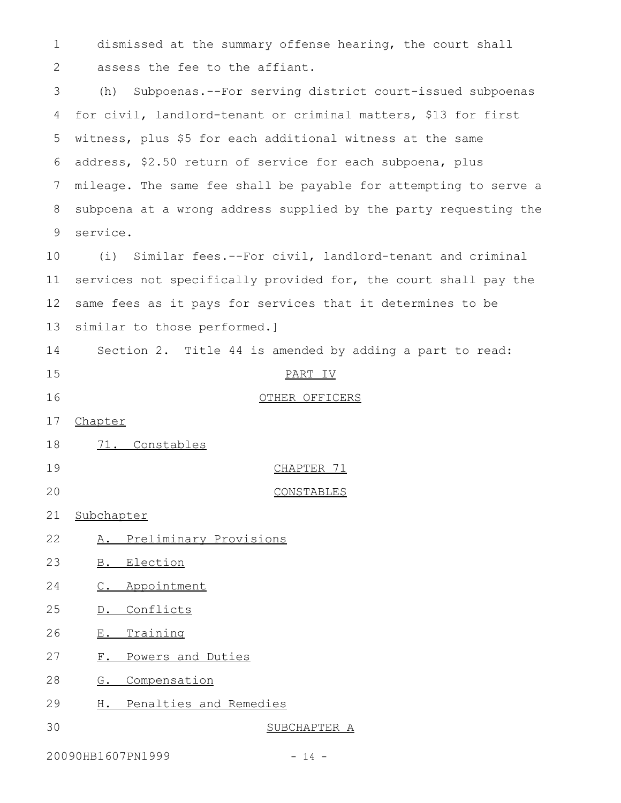dismissed at the summary offense hearing, the court shall assess the fee to the affiant. (h) Subpoenas.--For serving district court-issued subpoenas for civil, landlord-tenant or criminal matters, \$13 for first witness, plus \$5 for each additional witness at the same address, \$2.50 return of service for each subpoena, plus mileage. The same fee shall be payable for attempting to serve a subpoena at a wrong address supplied by the party requesting the service. (i) Similar fees.--For civil, landlord-tenant and criminal services not specifically provided for, the court shall pay the same fees as it pays for services that it determines to be similar to those performed.] Section 2. Title 44 is amended by adding a part to read: PART IV OTHER OFFICERS Chapter 71. Constables CHAPTER 71 CONSTABLES Subchapter A. Preliminary Provisions B. Election C. Appointment D. Conflicts E. Training F. Powers and Duties G. Compensation H. Penalties and Remedies SUBCHAPTER A 1 2 3 4 5 6 7 8 9 10 11 12 13 14 15 16 17 18 19 20 21 22 23 24 25 26 27 28 29 30

20090HB1607PN1999 - 14 -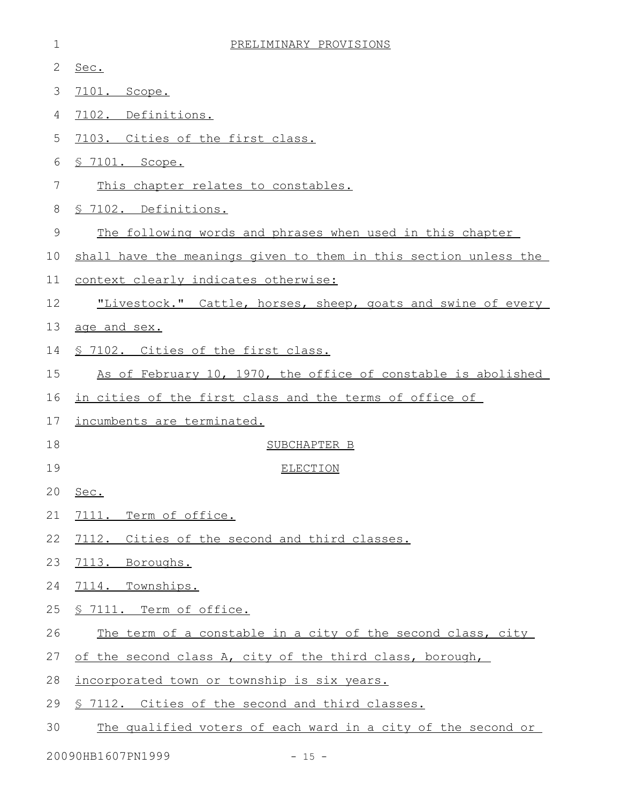| $\mathbf 1$ | PRELIMINARY PROVISIONS                                           |
|-------------|------------------------------------------------------------------|
| 2           | Sec.                                                             |
| 3           | 7101. Scope.                                                     |
| 4           | 7102. Definitions.                                               |
| 5           | 7103. Cities of the first class.                                 |
| 6           | <u>S 7101. Scope.</u>                                            |
| 7           | This chapter relates to constables.                              |
| 8           | § 7102. Definitions.                                             |
| 9           | The following words and phrases when used in this chapter        |
| 10          | shall have the meanings given to them in this section unless the |
| 11          | context clearly indicates otherwise:                             |
| 12          | "Livestock." Cattle, horses, sheep, goats and swine of every     |
| 13          | age and sex.                                                     |
| 14          | § 7102. Cities of the first class.                               |
| 15          | As of February 10, 1970, the office of constable is abolished    |
| 16          | in cities of the first class and the terms of office of          |
| 17          | incumbents are terminated.                                       |
| 18          | SUBCHAPTER B                                                     |
| 19          | <b>ELECTION</b>                                                  |
|             | 20 <u>Sec.</u>                                                   |
| 21          | 7111. Term of office.                                            |
| 22          | 7112. Cities of the second and third classes.                    |
| 23          | 7113. Boroughs.                                                  |
| 24          | 7114. Townships.                                                 |
| 25          | § 7111. Term of office.                                          |
| 26          | The term of a constable in a city of the second class, city      |
| 27          | of the second class A, city of the third class, borough,         |
| 28          | incorporated town or township is six years.                      |
| 29          | § 7112. Cities of the second and third classes.                  |
| 30          | The qualified voters of each ward in a city of the second or     |

20090HB1607PN1999 - 15 -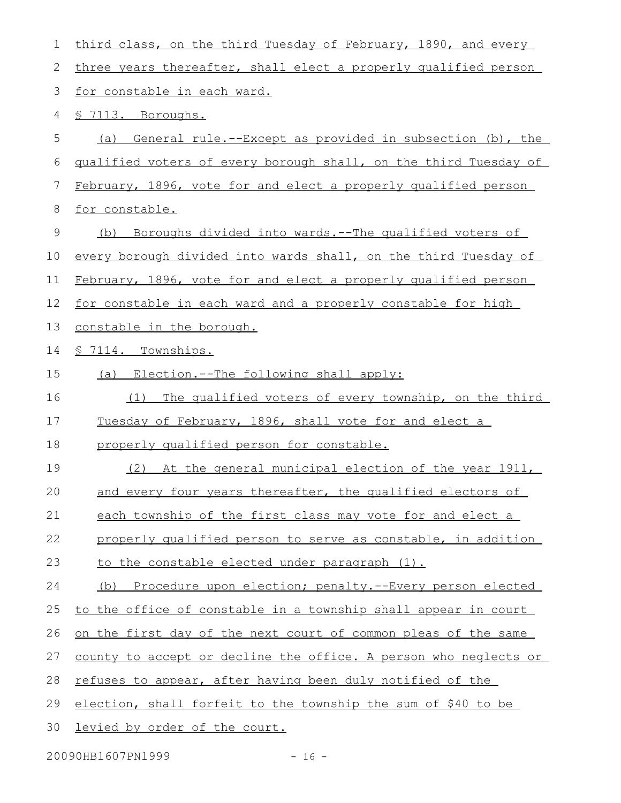| 1  | third class, on the third Tuesday of February, 1890, and every   |
|----|------------------------------------------------------------------|
| 2  | three years thereafter, shall elect a properly qualified person  |
| 3  | for constable in each ward.                                      |
| 4  | § 7113. Boroughs.                                                |
| 5  | (a) General rule.--Except as provided in subsection (b), the     |
| 6  | qualified voters of every borough shall, on the third Tuesday of |
| 7  | February, 1896, vote for and elect a properly qualified person   |
| 8  | for constable.                                                   |
| 9  | Boroughs divided into wards.--The qualified voters of<br>(b)     |
| 10 | every borough divided into wards shall, on the third Tuesday of  |
| 11 | February, 1896, vote for and elect a properly qualified person   |
| 12 | for constable in each ward and a properly constable for high     |
| 13 | constable in the borough.                                        |
| 14 | § 7114. Townships.                                               |
| 15 | (a) Election.--The following shall apply:                        |
| 16 | The qualified voters of every township, on the third<br>(1)      |
| 17 | Tuesday of February, 1896, shall vote for and elect a            |
| 18 | properly qualified person for constable.                         |
| 19 | (2) At the general municipal election of the year 1911,          |
| 20 | and every four years thereafter, the qualified electors of       |
| 21 | each township of the first class may vote for and elect a        |
| 22 | properly qualified person to serve as constable, in addition     |
| 23 | to the constable elected under paragraph (1).                    |
| 24 | (b) Procedure upon election; penalty.--Every person elected      |
| 25 | to the office of constable in a township shall appear in court   |
| 26 | on the first day of the next court of common pleas of the same   |
| 27 | county to accept or decline the office. A person who neglects or |
| 28 | refuses to appear, after having been duly notified of the        |
| 29 | election, shall forfeit to the township the sum of \$40 to be    |
| 30 | levied by order of the court.                                    |

20090HB1607PN1999 - 16 -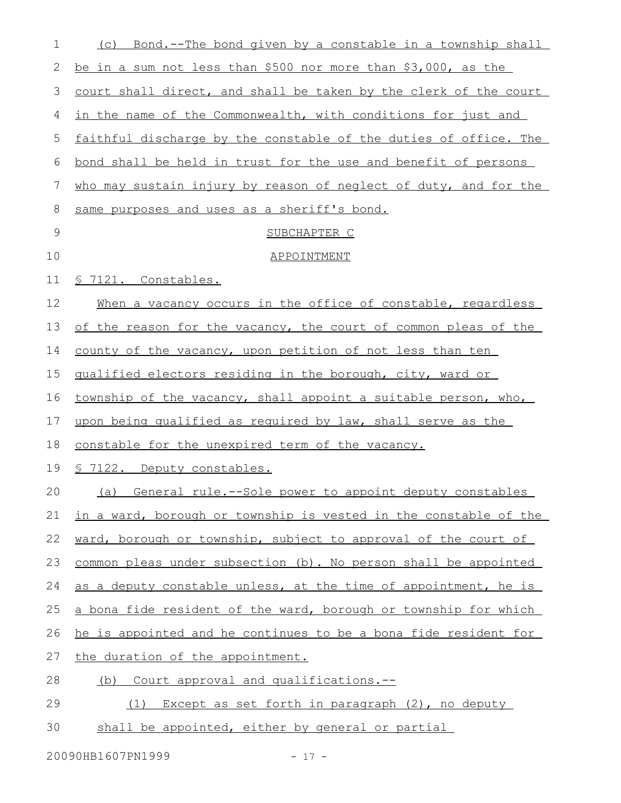| $\mathbf 1$ | (c) Bond.--The bond given by a constable in a township shall     |
|-------------|------------------------------------------------------------------|
| 2           | be in a sum not less than \$500 nor more than \$3,000, as the    |
| 3           | court shall direct, and shall be taken by the clerk of the court |
| 4           | in the name of the Commonwealth, with conditions for just and    |
| 5           | faithful discharge by the constable of the duties of office. The |
| 6           | bond shall be held in trust for the use and benefit of persons   |
| 7           | who may sustain injury by reason of neglect of duty, and for the |
| 8           | same purposes and uses as a sheriff's bond.                      |
| $\mathsf 9$ | SUBCHAPTER C                                                     |
| 10          | <b>APPOINTMENT</b>                                               |
| 11          | § 7121. Constables.                                              |
| 12          | When a vacancy occurs in the office of constable, regardless     |
| 13          | of the reason for the vacancy, the court of common pleas of the  |
| 14          | county of the vacancy, upon petition of not less than ten        |
| 15          | qualified electors residing in the borough, city, ward or        |
| 16          | township of the vacancy, shall appoint a suitable person, who,   |
| 17          | upon being qualified as required by law, shall serve as the      |
| 18          | constable for the unexpired term of the vacancy.                 |
| 19          | § 7122. Deputy constables.                                       |
| 20          | (a) General rule.--Sole power to appoint deputy constables       |
| 21          | in a ward, borough or township is vested in the constable of the |
| 22          | ward, borough or township, subject to approval of the court of   |
| 23          | common pleas under subsection (b). No person shall be appointed  |
| 24          | as a deputy constable unless, at the time of appointment, he is  |
| 25          | a bona fide resident of the ward, borough or township for which  |
| 26          | he is appointed and he continues to be a bona fide resident for  |
| 27          | the duration of the appointment.                                 |
| 28          | (b) Court approval and qualifications.--                         |
| 29          | Except as set forth in paragraph (2), no deputy<br>(1)           |
| 30          | shall be appointed, either by general or partial                 |

20090HB1607PN1999 - 17 -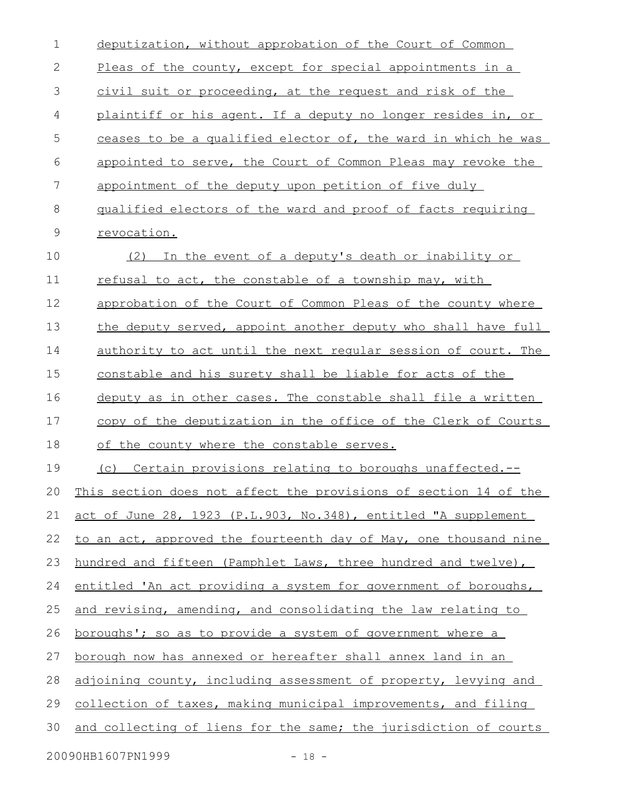| $\mathbf 1$   | deputization, without approbation of the Court of Common           |
|---------------|--------------------------------------------------------------------|
| $\mathbf{2}$  | Pleas of the county, except for special appointments in a          |
| 3             | civil suit or proceeding, at the request and risk of the           |
| 4             | plaintiff or his agent. If a deputy no longer resides in, or       |
| 5             | ceases to be a qualified elector of, the ward in which he was      |
| 6             | appointed to serve, the Court of Common Pleas may revoke the       |
| 7             | appointment of the deputy upon petition of five duly               |
| $8\,$         | qualified electors of the ward and proof of facts requiring        |
| $\mathcal{G}$ | revocation.                                                        |
| 10            | In the event of a deputy's death or inability or<br>(2)            |
| 11            | refusal to act, the constable of a township may, with              |
| 12            | approbation of the Court of Common Pleas of the county where       |
| 13            | the deputy served, appoint another deputy who shall have full      |
| 14            | authority to act until the next reqular session of court. The      |
| 15            | constable and his surety shall be liable for acts of the           |
| 16            | deputy as in other cases. The constable shall file a written       |
| 17            | copy of the deputization in the office of the Clerk of Courts      |
| 18            | of the county where the constable serves.                          |
| 19            | (c) Certain provisions relating to boroughs unaffected.--          |
| 20            | This section does not affect the provisions of section 14 of the   |
| 21            | act of June 28, 1923 (P.L.903, No.348), entitled "A supplement     |
| 22            | to an act, approved the fourteenth day of May, one thousand nine   |
| 23            | hundred and fifteen (Pamphlet Laws, three hundred and twelve),     |
| 24            | entitled 'An act providing a system for government of boroughs,    |
| 25            | and revising, amending, and consolidating the law relating to      |
| 26            | <u>boroughs'; so as to provide a system of government where a</u>  |
| 27            | <u>borough now has annexed or hereafter shall annex land in an</u> |
| 28            | adjoining county, including assessment of property, levying and    |
| 29            | collection of taxes, making municipal improvements, and filing     |
| 30            | and collecting of liens for the same; the jurisdiction of courts   |
|               |                                                                    |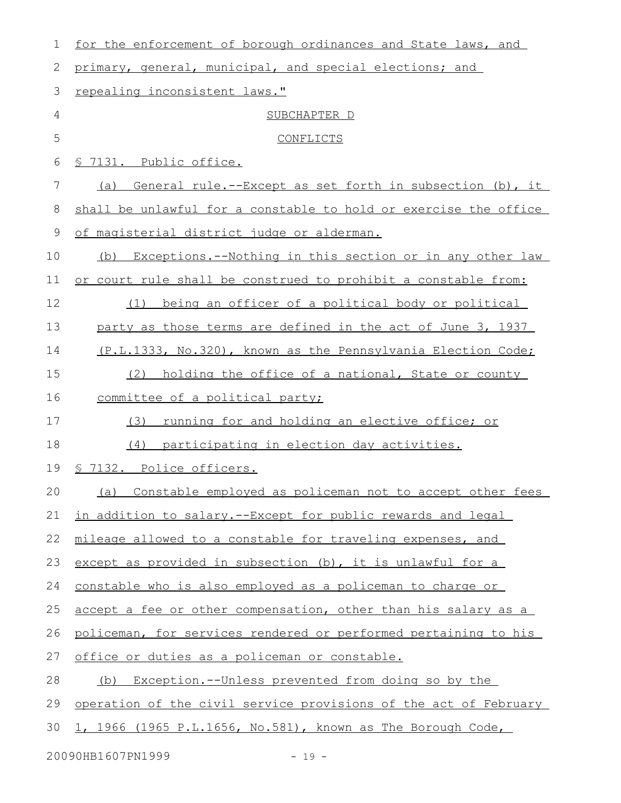| 1  | for the enforcement of borough ordinances and State laws, and    |
|----|------------------------------------------------------------------|
| 2  | primary, general, municipal, and special elections; and          |
| 3  | repealing inconsistent laws."                                    |
| 4  | SUBCHAPTER D                                                     |
| 5  | <b>CONFLICTS</b>                                                 |
| 6  | § 7131. Public office.                                           |
| 7  | General rule.--Except as set forth in subsection (b), it<br>(a)  |
| 8  | shall be unlawful for a constable to hold or exercise the office |
| 9  | <u>of magisterial district judge or alderman.</u>                |
| 10 | Exceptions.--Nothing in this section or in any other law<br>(b)  |
| 11 | or court rule shall be construed to prohibit a constable from:   |
| 12 | being an officer of a political body or political<br>(1)         |
| 13 | party as those terms are defined in the act of June 3, 1937      |
| 14 | (P.L.1333, No.320), known as the Pennsylvania Election Code;     |
| 15 | holding the office of a national, State or county<br>(2)         |
| 16 | committee of a political party;                                  |
| 17 | running for and holding an elective office; or<br>(3)            |
| 18 | participating in election day activities.<br>(4)                 |
| 19 | § 7132. Police officers.                                         |
| 20 | (a) Constable employed as policeman not to accept other fees     |
| 21 | in addition to salary.--Except for public rewards and legal      |
| 22 | mileage allowed to a constable for traveling expenses, and       |
| 23 | except as provided in subsection (b), it is unlawful for a       |
| 24 | constable who is also employed as a policeman to charge or       |
| 25 | accept a fee or other compensation, other than his salary as a   |
| 26 | policeman, for services rendered or performed pertaining to his  |
| 27 | <u>office or duties as a policeman or constable.</u>             |
| 28 | (b) Exception.--Unless prevented from doing so by the            |
| 29 | operation of the civil service provisions of the act of February |
| 30 | 1, 1966 (1965 P.L.1656, No.581), known as The Borough Code,      |
|    |                                                                  |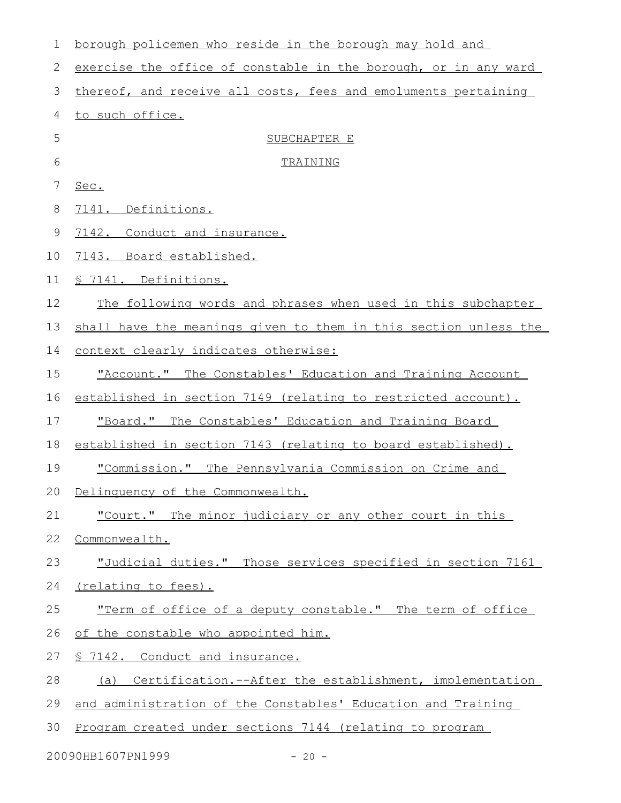| 1  | borough policemen who reside in the borough may hold and         |
|----|------------------------------------------------------------------|
| 2  | exercise the office of constable in the borough, or in any ward  |
| 3  | thereof, and receive all costs, fees and emoluments pertaining   |
| 4  | to such office.                                                  |
| 5  | SUBCHAPTER E                                                     |
| 6  | TRAINING                                                         |
| 7  | Sec.                                                             |
| 8  | 7141. Definitions.                                               |
| 9  | 7142. Conduct and insurance.                                     |
| 10 | 7143. Board established.                                         |
| 11 | § 7141. Definitions.                                             |
| 12 | The following words and phrases when used in this subchapter     |
| 13 | shall have the meanings given to them in this section unless the |
| 14 | context clearly indicates otherwise:                             |
| 15 | "Account." The Constables' Education and Training Account        |
| 16 | established in section 7149 (relating to restricted account).    |
| 17 | "Board." The Constables' Education and Training Board            |
| 18 | established in section 7143 (relating to board established).     |
| 19 | "Commission." The Pennsylvania Commission on Crime and           |
|    | 20 Delinquency of the Commonwealth.                              |
| 21 | "Court." The minor judiciary or any other court in this          |
| 22 | Commonwealth.                                                    |
| 23 | "Judicial duties." Those services specified in section 7161      |
| 24 | <u>(relating to fees).</u>                                       |
| 25 | "Term of office of a deputy constable." The term of office       |
| 26 | of the constable who appointed him.                              |
| 27 | <u>§ 7142. Conduct and insurance.</u>                            |
| 28 | Certification.--After the establishment, implementation<br>(a)   |
| 29 | and administration of the Constables' Education and Training     |
| 30 | Program created under sections 7144 (relating to program         |

20090HB1607PN1999 - 20 -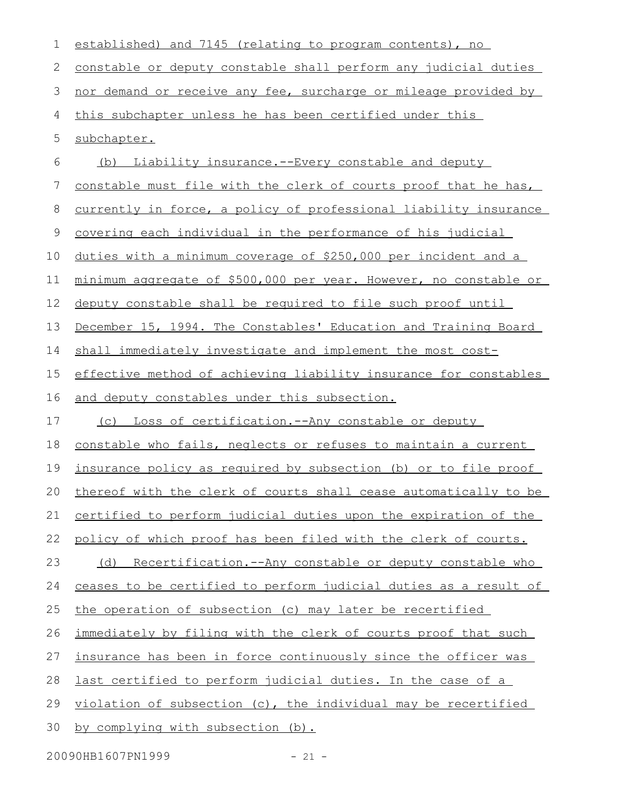| 1  | established) and 7145 (relating to program contents), no                |
|----|-------------------------------------------------------------------------|
| 2  | constable or deputy constable shall perform any judicial duties         |
| 3  | nor demand or receive any fee, surcharge or mileage provided by         |
| 4  | this subchapter unless he has been certified under this                 |
| 5  | subchapter.                                                             |
| 6  | (b)<br>Liability insurance.--Every constable and deputy                 |
| 7  | constable must file with the clerk of courts proof that he has,         |
| 8  | <u>currently in force, a policy of professional liability insurance</u> |
| 9  | <u>covering each individual in the performance of his judicial</u>      |
| 10 | duties with a minimum coverage of \$250,000 per incident and a          |
| 11 | minimum aggregate of \$500,000 per year. However, no constable or       |
| 12 | deputy constable shall be required to file such proof until             |
| 13 | December 15, 1994. The Constables' Education and Training Board         |
| 14 | shall immediately investigate and implement the most cost-              |
| 15 | effective method of achieving liability insurance for constables        |
| 16 | and deputy constables under this subsection.                            |
| 17 | (c) Loss of certification.--Any constable or deputy                     |
| 18 | constable who fails, neglects or refuses to maintain a current          |
| 19 | insurance policy as required by subsection (b) or to file proof         |
| 20 | thereof with the clerk of courts shall cease automatically to be        |
| 21 | certified to perform judicial duties upon the expiration of the         |
| 22 | policy of which proof has been filed with the clerk of courts.          |
| 23 | (d) Recertification.--Any constable or deputy constable who             |
| 24 | ceases to be certified to perform judicial duties as a result of        |
| 25 | the operation of subsection (c) may later be recertified                |
| 26 | immediately by filing with the clerk of courts proof that such          |
| 27 | insurance has been in force continuously since the officer was          |
| 28 | <u>last certified to perform judicial duties. In the case of a</u>      |
| 29 | violation of subsection (c), the individual may be recertified          |
| 30 | by complying with subsection (b).                                       |
|    |                                                                         |

20090HB1607PN1999 - 21 -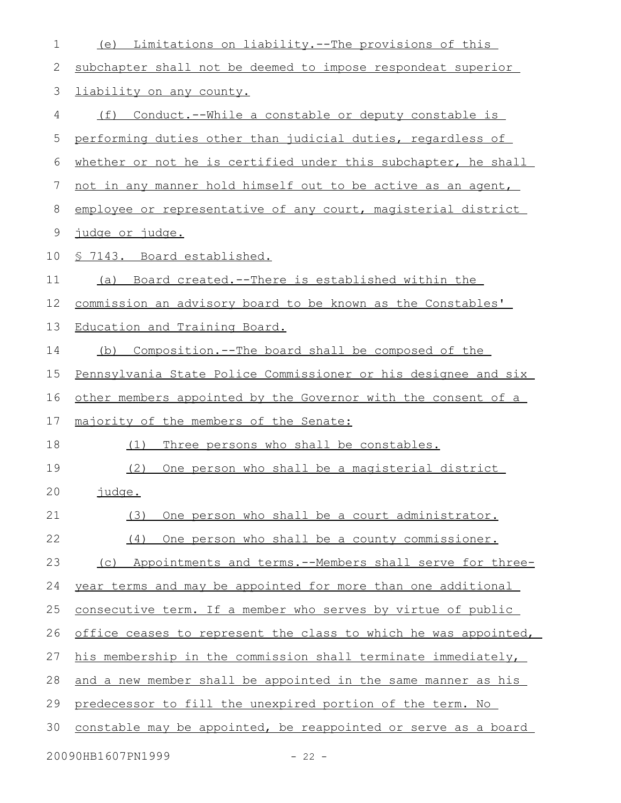| $\mathbf 1$   | Limitations on liability.--The provisions of this<br>(e)        |
|---------------|-----------------------------------------------------------------|
| $\mathbf{2}$  | subchapter shall not be deemed to impose respondeat superior    |
| $\mathcal{S}$ | liability on any county.                                        |
| 4             | (f) Conduct.--While a constable or deputy constable is          |
| 5             | performing duties other than judicial duties, regardless of     |
| 6             | whether or not he is certified under this subchapter, he shall  |
| 7             | not in any manner hold himself out to be active as an agent,    |
| 8             | employee or representative of any court, magisterial district   |
| 9             | judge or judge.                                                 |
| 10            | § 7143. Board established.                                      |
| 11            | (a) Board created.--There is established within the             |
| 12            | commission an advisory board to be known as the Constables'     |
| 13            | Education and Training Board.                                   |
| 14            | Composition.--The board shall be composed of the<br>(b)         |
| 15            | Pennsylvania State Police Commissioner or his designee and six  |
| 16            | other members appointed by the Governor with the consent of a   |
| 17            | majority of the members of the Senate:                          |
| 18            | Three persons who shall be constables.<br>(1)                   |
| 19            | (2)<br>One person who shall be a magisterial district           |
| 20            | <u>judge.</u>                                                   |
| 21            | One person who shall be a court administrator.<br>(3)           |
| 22            | One person who shall be a county commissioner.<br>(4)           |
| 23            | Appointments and terms.--Members shall serve for three-<br>(C)  |
| 24            | year terms and may be appointed for more than one additional    |
| 25            | consecutive term. If a member who serves by virtue of public    |
| 26            | office ceases to represent the class to which he was appointed, |
| 27            | his membership in the commission shall terminate immediately,   |
| 28            | and a new member shall be appointed in the same manner as his   |
| 29            | predecessor to fill the unexpired portion of the term. No       |
| 30            | constable may be appointed, be reappointed or serve as a board  |

20090HB1607PN1999 - 22 -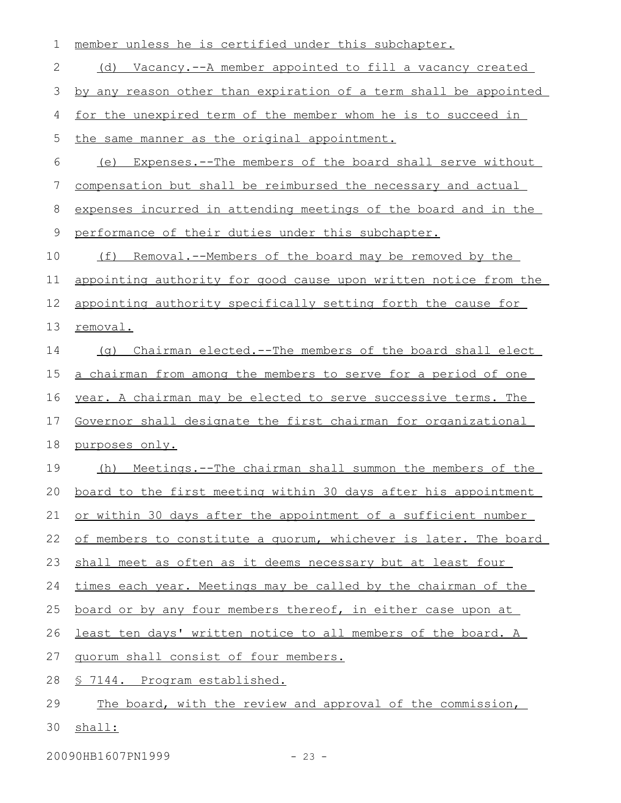| 1           | member unless he is certified under this subchapter.                 |
|-------------|----------------------------------------------------------------------|
| $\mathbf 2$ | (d) Vacancy.--A member appointed to fill a vacancy created           |
| 3           | by any reason other than expiration of a term shall be appointed     |
| 4           | <u>for the unexpired term of the member whom he is to succeed in</u> |
| 5           | the same manner as the original appointment.                         |
| 6           | (e) Expenses.--The members of the board shall serve without          |
| 7           | compensation but shall be reimbursed the necessary and actual        |
| 8           | expenses incurred in attending meetings of the board and in the      |
| $\mathsf 9$ | performance of their duties under this subchapter.                   |
| 10          | (f) Removal.--Members of the board may be removed by the             |
| 11          | appointing authority for good cause upon written notice from the     |
| 12          | appointing authority specifically setting forth the cause for        |
| 13          | removal.                                                             |
| 14          | (q) Chairman elected.--The members of the board shall elect          |
| 15          | a chairman from among the members to serve for a period of one       |
| 16          | year. A chairman may be elected to serve successive terms. The       |
| 17          | Governor shall designate the first chairman for organizational       |
| 18          | purposes only.                                                       |
| 19          | (h) Meetings.--The chairman shall summon the members of the          |
| 20          | board to the first meeting within 30 days after his appointment      |
| 21          | or within 30 days after the appointment of a sufficient number       |
| 22          | of members to constitute a quorum, whichever is later. The board     |
| 23          | shall meet as often as it deems necessary but at least four          |
| 24          | times each year. Meetings may be called by the chairman of the       |
| 25          | board or by any four members thereof, in either case upon at         |
| 26          | least ten days' written notice to all members of the board. A        |
| 27          | quorum shall consist of four members.                                |
| 28          | <u>§ 7144. Program established.</u>                                  |
| 29          | The board, with the review and approval of the commission,           |
| 30          | shall:                                                               |

20090HB1607PN1999 - 23 -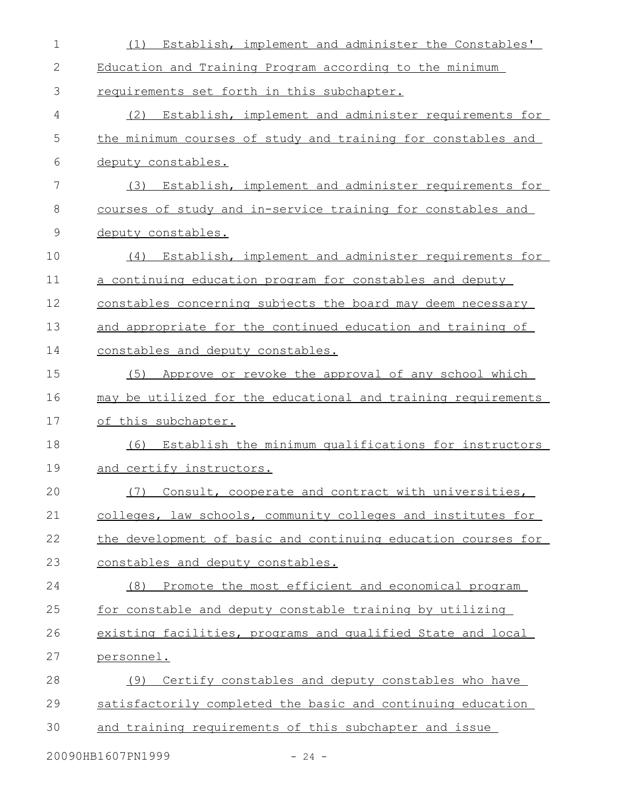| $\mathbf 1$ | Establish, implement and administer the Constables'<br>(1)    |
|-------------|---------------------------------------------------------------|
| 2           | Education and Training Program according to the minimum       |
| 3           | requirements set forth in this subchapter.                    |
| 4           | (2)<br>Establish, implement and administer requirements for   |
| 5           | the minimum courses of study and training for constables and  |
| 6           | deputy constables.                                            |
| 7           | (3) Establish, implement and administer requirements for      |
| 8           | courses of study and in-service training for constables and   |
| 9           | deputy constables.                                            |
| 10          | Establish, implement and administer requirements for<br>(4)   |
| 11          | a continuing education program for constables and deputy      |
| 12          | constables concerning subjects the board may deem necessary   |
| 13          | and appropriate for the continued education and training of   |
| 14          | constables and deputy constables.                             |
| 15          | (5) Approve or revoke the approval of any school which        |
| 16          | may be utilized for the educational and training requirements |
| 17          | of this subchapter.                                           |
| 18          | Establish the minimum qualifications for instructors<br>(6)   |
| 19          | and certify instructors.                                      |
| 20          | (7) Consult, cooperate and contract with universities,        |
| 21          | colleges, law schools, community colleges and institutes for  |
| 22          | the development of basic and continuing education courses for |
| 23          | constables and deputy constables.                             |
| 24          | (8) Promote the most efficient and economical program         |
| 25          | for constable and deputy constable training by utilizing      |
| 26          | existing facilities, programs and qualified State and local   |
| 27          | personnel.                                                    |
| 28          | Certify constables and deputy constables who have<br>(9)      |
| 29          | satisfactorily completed the basic and continuing education   |
| 30          | and training requirements of this subchapter and issue        |
|             |                                                               |

20090HB1607PN1999 - 24 -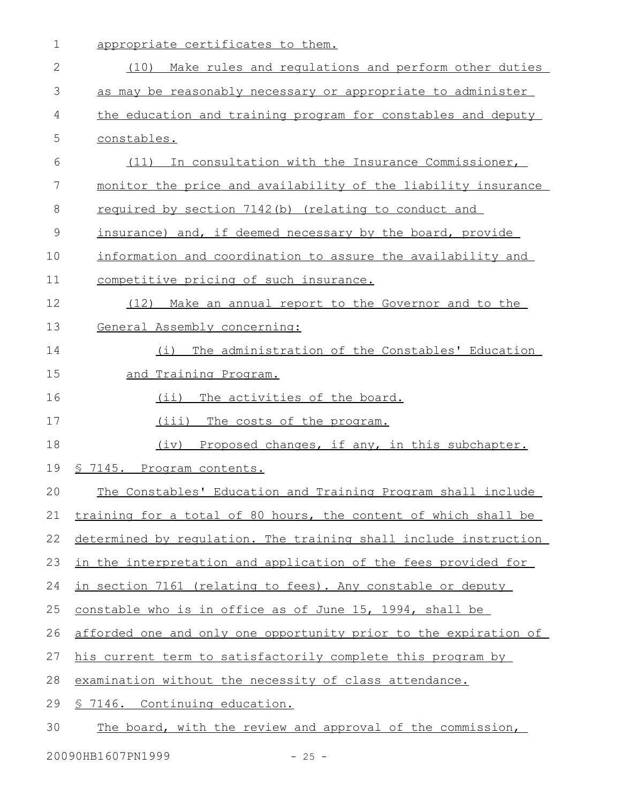| $\mathbf 1$   | appropriate certificates to them.                                |
|---------------|------------------------------------------------------------------|
| 2             | (10)<br>Make rules and requlations and perform other duties      |
| 3             | as may be reasonably necessary or appropriate to administer      |
| 4             | the education and training program for constables and deputy     |
| 5             | constables.                                                      |
| 6             | In consultation with the Insurance Commissioner,<br>(11)         |
| 7             | monitor the price and availability of the liability insurance    |
| 8             | required by section 7142(b) (relating to conduct and             |
| $\mathcal{G}$ | insurance) and, if deemed necessary by the board, provide        |
| 10            | information and coordination to assure the availability and      |
| 11            | competitive pricing of such insurance.                           |
| 12            | (12) Make an annual report to the Governor and to the            |
| 13            | General Assembly concerning:                                     |
| 14            | The administration of the Constables' Education<br>(i)           |
| 15            | <u>and Training Program.</u>                                     |
| 16            | $(i$ i)<br>The activities of the board.                          |
| 17            | (iii)<br>The costs of the program.                               |
| 18            | Proposed changes, if any, in this subchapter.<br>(iv)            |
| 19            | § 7145. Program contents.                                        |
| 20            | The Constables' Education and Training Program shall include     |
| 21            | training for a total of 80 hours, the content of which shall be  |
| 22            | determined by regulation. The training shall include instruction |
| 23            | in the interpretation and application of the fees provided for   |
| 24            | in section 7161 (relating to fees). Any constable or deputy      |
| 25            | constable who is in office as of June 15, 1994, shall be         |
| 26            | afforded one and only one opportunity prior to the expiration of |
| 27            | his current term to satisfactorily complete this program by      |
| 28            | examination without the necessity of class attendance.           |
| 29            | <u>§ 7146. Continuing education.</u>                             |
| 30            | The board, with the review and approval of the commission,       |

20090HB1607PN1999 - 25 -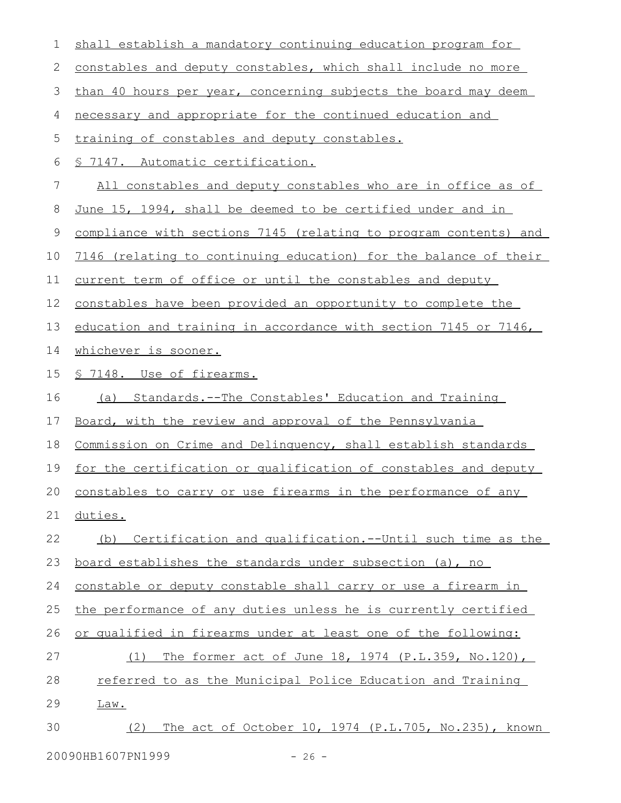| 1           | shall establish a mandatory continuing education program for      |
|-------------|-------------------------------------------------------------------|
| 2           | constables and deputy constables, which shall include no more     |
| 3           | than 40 hours per year, concerning subjects the board may deem    |
| 4           | necessary and appropriate for the continued education and         |
| 5           | training of constables and deputy constables.                     |
| 6           | § 7147. Automatic certification.                                  |
| 7           | All constables and deputy constables who are in office as of      |
| 8           | June 15, 1994, shall be deemed to be certified under and in       |
| $\mathsf 9$ | compliance with sections 7145 (relating to program contents) and  |
| 10          | 7146 (relating to continuing education) for the balance of their  |
| 11          | current term of office or until the constables and deputy         |
| 12          | constables have been provided an opportunity to complete the      |
| 13          | education and training in accordance with section 7145 or 7146,   |
| 14          | whichever is sooner.                                              |
| 15          | § 7148. Use of firearms.                                          |
| 16          | (a) Standards.--The Constables' Education and Training            |
| 17          | Board, with the review and approval of the Pennsylvania           |
| 18          | Commission on Crime and Delinquency, shall establish standards    |
| 19          | for the certification or qualification of constables and deputy   |
| 20          | constables to carry or use firearms in the performance of any     |
| 21          | duties.                                                           |
| 22          | Certification and qualification. -- Until such time as the<br>(b) |
| 23          | board establishes the standards under subsection (a), no          |
| 24          | constable or deputy constable shall carry or use a firearm in     |
| 25          | the performance of any duties unless he is currently certified    |
| 26          | or qualified in firearms under at least one of the following:     |
| 27          | The former act of June 18, 1974 (P.L.359, No.120),<br>(1)         |
| 28          | referred to as the Municipal Police Education and Training        |
| 29          | Law.                                                              |
| 30          | The act of October 10, 1974 (P.L.705, No.235), known<br>(2)       |
|             | 20090HB1607PN1999<br>$-26 -$                                      |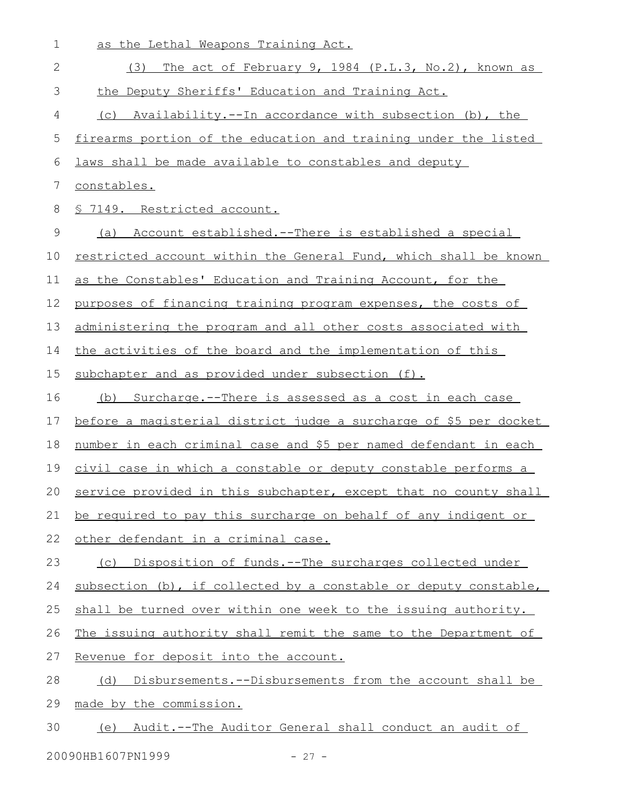| $\mathbf 1$ | as the Lethal Weapons Training Act.                               |
|-------------|-------------------------------------------------------------------|
| 2           | The act of February 9, 1984 (P.L.3, No.2), known as<br>(3)        |
| 3           | the Deputy Sheriffs' Education and Training Act.                  |
| 4           | (c) Availability.--In accordance with subsection (b), the         |
| 5           | firearms portion of the education and training under the listed   |
| 6           | laws shall be made available to constables and deputy             |
| 7           | constables.                                                       |
| 8           | <u>§ 7149. Restricted account.</u>                                |
| $\mathsf 9$ | Account established.--There is established a special<br>(a)       |
| 10          | restricted account within the General Fund, which shall be known  |
| 11          | as the Constables' Education and Training Account, for the        |
| 12          | purposes of financing training program expenses, the costs of     |
| 13          | administering the program and all other costs associated with     |
| 14          | the activities of the board and the implementation of this        |
| 15          | subchapter and as provided under subsection (f).                  |
| 16          | (b) Surcharge.--There is assessed as a cost in each case          |
| 17          | before a magisterial district judge a surcharge of \$5 per docket |
| 18          | number in each criminal case and \$5 per named defendant in each  |
| 19          | civil case in which a constable or deputy constable performs a    |
| 20          | service provided in this subchapter, except that no county shall  |
| 21          | be required to pay this surcharge on behalf of any indigent or    |
| 22          | other defendant in a criminal case.                               |
| 23          | (c) Disposition of funds.--The surcharges collected under         |
| 24          | subsection (b), if collected by a constable or deputy constable,  |
| 25          | shall be turned over within one week to the issuing authority.    |
| 26          | The issuing authority shall remit the same to the Department of   |
| 27          | Revenue for deposit into the account.                             |
| 28          | Disbursements.--Disbursements from the account shall be<br>(d)    |
| 29          | made by the commission.                                           |
| 30          | Audit.--The Auditor General shall conduct an audit of<br>(e)      |

20090HB1607PN1999 - 27 -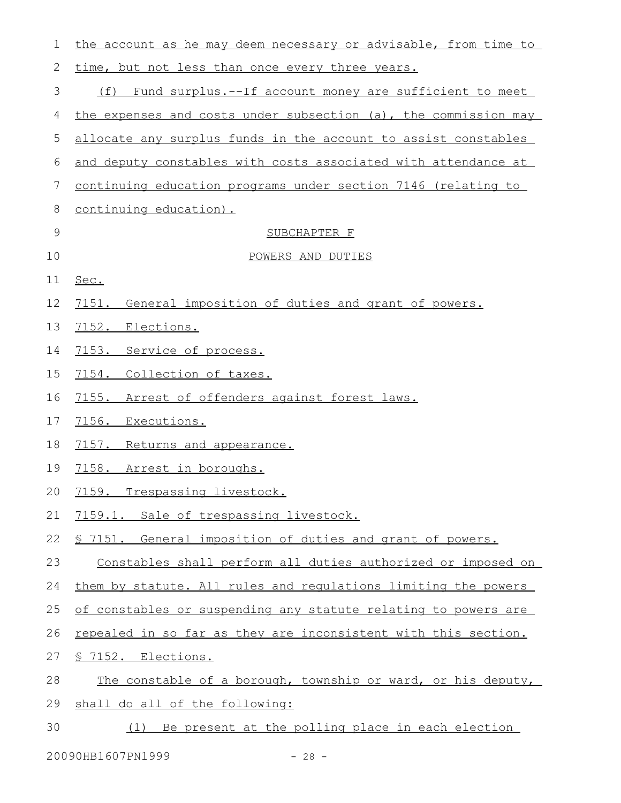| $\mathbf 1$  | the account as he may deem necessary or advisable, from time to |
|--------------|-----------------------------------------------------------------|
| $\mathbf{2}$ | time, but not less than once every three years.                 |
| 3            | Fund surplus.--If account money are sufficient to meet<br>(f)   |
| 4            | the expenses and costs under subsection (a), the commission may |
| 5            | allocate any surplus funds in the account to assist constables  |
| 6            | and deputy constables with costs associated with attendance at  |
| 7            | continuing education programs under section 7146 (relating to   |
| 8            | <u>continuing education).</u>                                   |
| $\mathsf{9}$ | SUBCHAPTER F                                                    |
| 10           | POWERS AND DUTIES                                               |
| 11           | Sec.                                                            |
| 12           | 7151. General imposition of duties and grant of powers.         |
| 13           | 7152. Elections.                                                |
| 14           | 7153. Service of process.                                       |
| 15           | 7154. Collection of taxes.                                      |
| 16           | Arrest of offenders against forest laws.<br>7155.               |
| 17           | 7156.<br>Executions.                                            |
| 18           | 7157. Returns and appearance.                                   |
| 19           | 7158. Arrest in boroughs.                                       |
| 20           | 7159.<br>Trespassing livestock.                                 |
| 21           | 7159.1. Sale of trespassing livestock.                          |
| 22           | \$ 7151. General imposition of duties and grant of powers.      |
| 23           | Constables shall perform all duties authorized or imposed on    |
| 24           | them by statute. All rules and regulations limiting the powers  |
| 25           | of constables or suspending any statute relating to powers are  |
| 26           | repealed in so far as they are inconsistent with this section.  |
| 27           | <u>S 7152. Elections.</u>                                       |
| 28           | The constable of a borough, township or ward, or his deputy,    |
| 29           | shall do all of the following:                                  |
| 30           | Be present at the polling place in each election<br>(1)         |
|              | 20090HB1607PN1999<br>$-28 -$                                    |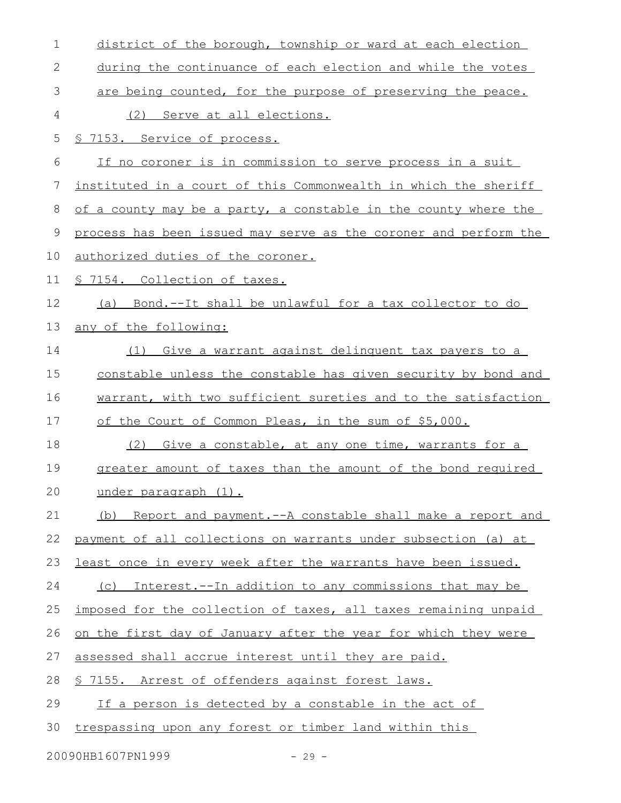| $\mathbf 1$ | district of the borough, township or ward at each election       |
|-------------|------------------------------------------------------------------|
| 2           | during the continuance of each election and while the votes      |
| 3           | are being counted, for the purpose of preserving the peace.      |
| 4           | (2) Serve at all elections.                                      |
| 5           | § 7153. Service of process.                                      |
| 6           | If no coroner is in commission to serve process in a suit        |
| 7           | instituted in a court of this Commonwealth in which the sheriff  |
| 8           | of a county may be a party, a constable in the county where the  |
| 9           | process has been issued may serve as the coroner and perform the |
| 10          | authorized duties of the coroner.                                |
| 11          | § 7154. Collection of taxes.                                     |
| 12          | (a) Bond.--It shall be unlawful for a tax collector to do        |
| 13          | any of the following:                                            |
| 14          | Give a warrant against delinquent tax payers to a<br>(1)         |
| 15          | constable unless the constable has given security by bond and    |
| 16          | warrant, with two sufficient sureties and to the satisfaction    |
| 17          | of the Court of Common Pleas, in the sum of \$5,000.             |
| 18          | Give a constable, at any one time, warrants for a<br>(2)         |
| 19          | greater amount of taxes than the amount of the bond required     |
| 20          | under paragraph (1).                                             |
| 21          | (b) Report and payment.--A constable shall make a report and     |
| 22          | payment of all collections on warrants under subsection (a) at   |
| 23          | least once in every week after the warrants have been issued.    |
| 24          | (c) Interest.--In addition to any commissions that may be        |
| 25          | imposed for the collection of taxes, all taxes remaining unpaid  |
| 26          | on the first day of January after the year for which they were   |
| 27          | assessed shall accrue interest until they are paid.              |
| 28          | § 7155. Arrest of offenders against forest laws.                 |
| 29          | If a person is detected by a constable in the act of             |
| 30          | trespassing upon any forest or timber land within this           |
|             |                                                                  |

20090HB1607PN1999 - 29 -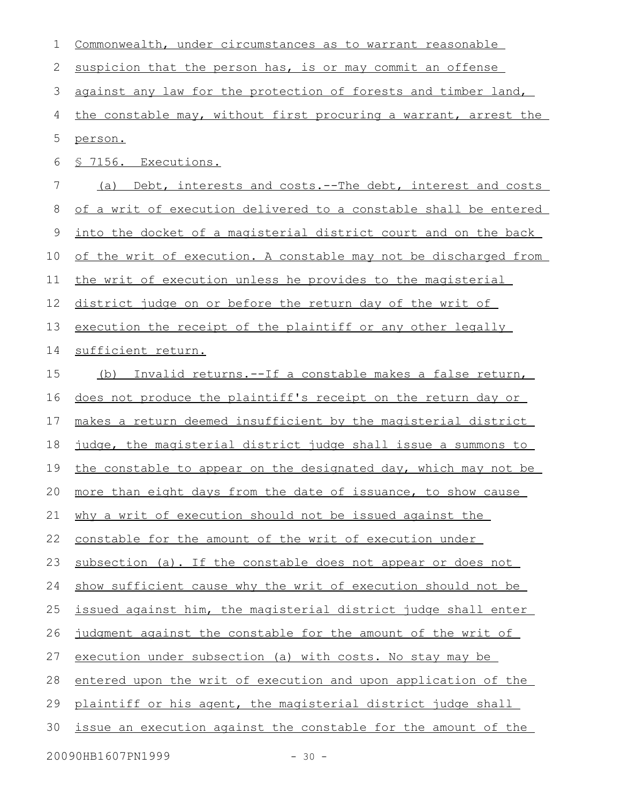| 1           | Commonwealth, under circumstances as to warrant reasonable       |
|-------------|------------------------------------------------------------------|
| 2           | suspicion that the person has, is or may commit an offense       |
| 3           | against any law for the protection of forests and timber land,   |
| 4           | the constable may, without first procuring a warrant, arrest the |
| 5           | person.                                                          |
| 6           | § 7156. Executions.                                              |
| 7           | (a) Debt, interests and costs.--The debt, interest and costs     |
| 8           | of a writ of execution delivered to a constable shall be entered |
| $\mathsf 9$ | into the docket of a magisterial district court and on the back  |
| 10          | of the writ of execution. A constable may not be discharged from |
| 11          | the writ of execution unless he provides to the magisterial      |
| 12          | district judge on or before the return day of the writ of        |
| 13          | execution the receipt of the plaintiff or any other legally      |
| 14          | sufficient return.                                               |
| 15          | (b) Invalid returns.--If a constable makes a false return,       |
| 16          | does not produce the plaintiff's receipt on the return day or    |
| 17          | makes a return deemed insufficient by the magisterial district   |
| 18          | judge, the magisterial district judge shall issue a summons to   |
| 19          | the constable to appear on the designated day, which may not be  |
| 20          | more than eight days from the date of issuance, to show cause    |
| 21          | why a writ of execution should not be issued against the         |
| 22          | constable for the amount of the writ of execution under          |
| 23          | subsection (a). If the constable does not appear or does not     |
| 24          | show sufficient cause why the writ of execution should not be    |
| 25          | issued against him, the magisterial district judge shall enter   |
| 26          | judgment against the constable for the amount of the writ of     |
| 27          | execution under subsection (a) with costs. No stay may be        |
| 28          | entered upon the writ of execution and upon application of the   |
| 29          | plaintiff or his agent, the magisterial district judge shall     |
| 30          | issue an execution against the constable for the amount of the   |
|             | 20090HB1607PN1999<br>$-30 -$                                     |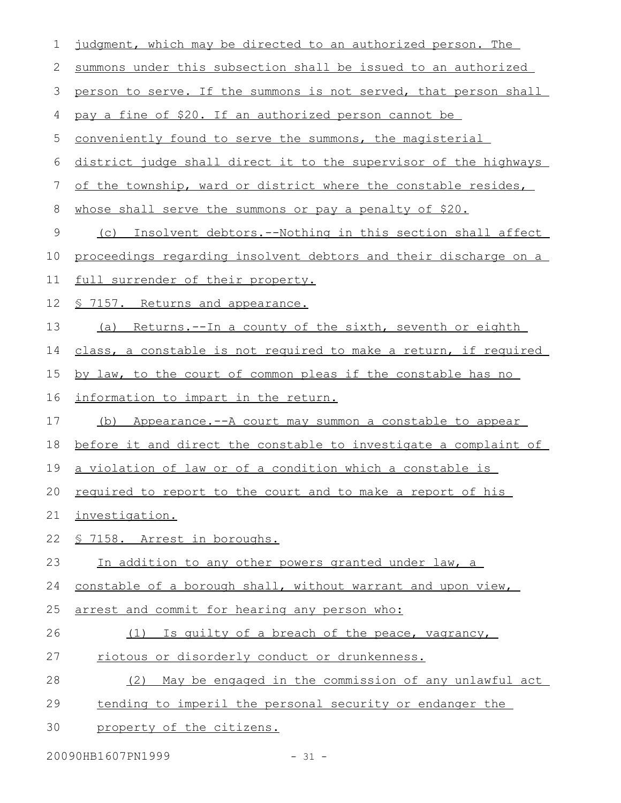| 1           | judgment, which may be directed to an authorized person. The     |
|-------------|------------------------------------------------------------------|
| 2           | summons under this subsection shall be issued to an authorized   |
| 3           | person to serve. If the summons is not served, that person shall |
| 4           | pay a fine of \$20. If an authorized person cannot be            |
| 5           | conveniently found to serve the summons, the magisterial         |
| 6           | district judge shall direct it to the supervisor of the highways |
| 7           | of the township, ward or district where the constable resides,   |
| 8           | whose shall serve the summons or pay a penalty of \$20.          |
| $\mathsf 9$ | Insolvent debtors.--Nothing in this section shall affect<br>(C)  |
| 10          | proceedings regarding insolvent debtors and their discharge on a |
| 11          | full surrender of their property.                                |
| 12          | § 7157. Returns and appearance.                                  |
| 13          | (a) Returns.--In a county of the sixth, seventh or eighth        |
| 14          | class, a constable is not required to make a return, if required |
| 15          | by law, to the court of common pleas if the constable has no     |
| 16          | information to impart in the return.                             |
| 17          | Appearance.--A court may summon a constable to appear<br>(b)     |
| 18          | before it and direct the constable to investigate a complaint of |
| 19          | a violation of law or of a condition which a constable is        |
| 20          | required to report to the court and to make a report of his      |
| 21          | investigation.                                                   |
| 22          | § 7158. Arrest in boroughs.                                      |
| 23          | In addition to any other powers granted under law, a             |
| 24          | constable of a borough shall, without warrant and upon view,     |
| 25          | arrest and commit for hearing any person who:                    |
| 26          | Is quilty of a breach of the peace, vagrancy,<br>(1)             |
| 27          | riotous or disorderly conduct or drunkenness.                    |
| 28          | May be engaged in the commission of any unlawful act<br>(2)      |
| 29          | tending to imperil the personal security or endanger the         |
| 30          | property of the citizens.                                        |

20090HB1607PN1999 - 31 -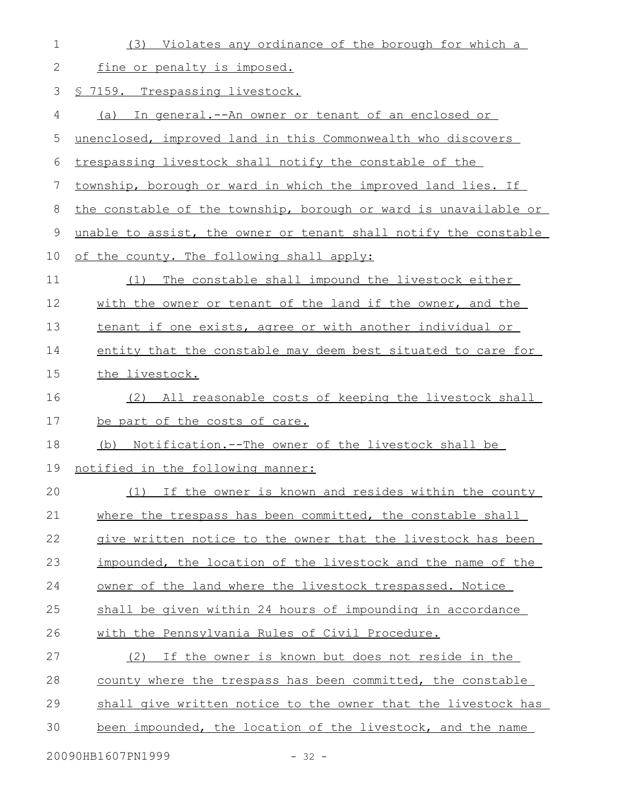| $\mathbf 1$    | (3) Violates any ordinance of the borough for which a            |
|----------------|------------------------------------------------------------------|
| $\mathbf{2}$   | fine or penalty is imposed.                                      |
| 3              | § 7159. Trespassing livestock.                                   |
| 4              | In general.--An owner or tenant of an enclosed or<br>(a)         |
| 5              | unenclosed, improved land in this Commonwealth who discovers     |
| 6              | trespassing livestock shall notify the constable of the          |
| $\overline{7}$ | township, borough or ward in which the improved land lies. If    |
| 8              | the constable of the township, borough or ward is unavailable or |
| 9              | unable to assist, the owner or tenant shall notify the constable |
| 10             | of the county. The following shall apply:                        |
| 11             | The constable shall impound the livestock either<br>(1)          |
| 12             | with the owner or tenant of the land if the owner, and the       |
| 13             | tenant if one exists, agree or with another individual or        |
| 14             | entity that the constable may deem best situated to care for     |
| 15             | the livestock.                                                   |
| 16             | All reasonable costs of keeping the livestock shall<br>(2)       |
| 17             | be part of the costs of care.                                    |
| 18             | (b) Notification.--The owner of the livestock shall be           |
| 19             | notified in the following manner:                                |
| 20             | If the owner is known and resides within the county<br>(1)       |
| 21             | where the trespass has been committed, the constable shall       |
| 22             | give written notice to the owner that the livestock has been     |
| 23             | impounded, the location of the livestock and the name of the     |
| 24             | owner of the land where the livestock trespassed. Notice         |
| 25             | shall be given within 24 hours of impounding in accordance       |
| 26             | with the Pennsylvania Rules of Civil Procedure.                  |
| 27             | If the owner is known but does not reside in the<br>(2)          |
| 28             | county where the trespass has been committed, the constable      |
| 29             | shall give written notice to the owner that the livestock has    |
| 30             | been impounded, the location of the livestock, and the name      |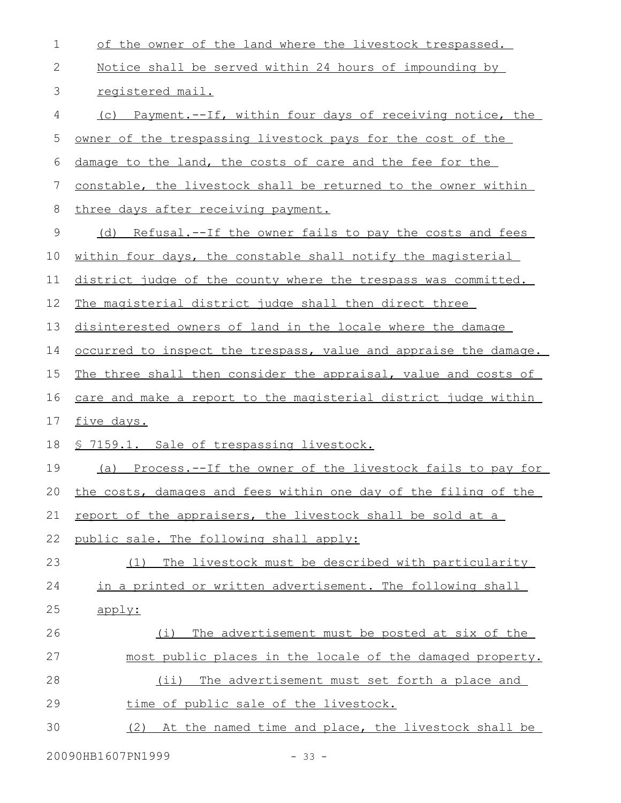| $\mathbf 1$ | of the owner of the land where the livestock trespassed.             |
|-------------|----------------------------------------------------------------------|
| 2           | Notice shall be served within 24 hours of impounding by              |
| 3           | registered mail.                                                     |
| 4           | (c) Payment.--If, within four days of receiving notice, the          |
| 5           | owner of the trespassing livestock pays for the cost of the          |
| 6           | damage to the land, the costs of care and the fee for the            |
| 7           | constable, the livestock shall be returned to the owner within       |
| 8           | three days after receiving payment.                                  |
| 9           | <u>Refusal.--If the owner fails to pay the costs and fees</u><br>(d) |
| 10          | within four days, the constable shall notify the magisterial         |
| 11          | district judge of the county where the trespass was committed.       |
| 12          | The magisterial district judge shall then direct three               |
| 13          | disinterested owners of land in the locale where the damage          |
| 14          | occurred to inspect the trespass, value and appraise the damage.     |
| 15          | The three shall then consider the appraisal, value and costs of      |
| 16          | care and make a report to the magisterial district judge within      |
| 17          | five days.                                                           |
| 18          | § 7159.1. Sale of trespassing livestock.                             |
| 19          | (a) Process.--If the owner of the livestock fails to pay for         |
|             | 20 the costs, damages and fees within one day of the filing of the   |
| 21          | report of the appraisers, the livestock shall be sold at a           |
| 22          | public sale. The following shall apply:                              |
| 23          | The livestock must be described with particularity<br>(1)            |
| 24          | in a printed or written advertisement. The following shall           |
| 25          | apply:                                                               |
| 26          | The advertisement must be posted at six of the<br>(i)                |
| 27          | most public places in the locale of the damaged property.            |
| 28          | (ii) The advertisement must set forth a place and                    |
| 29          | time of public sale of the livestock.                                |
| 30          | (2) At the named time and place, the livestock shall be              |
|             |                                                                      |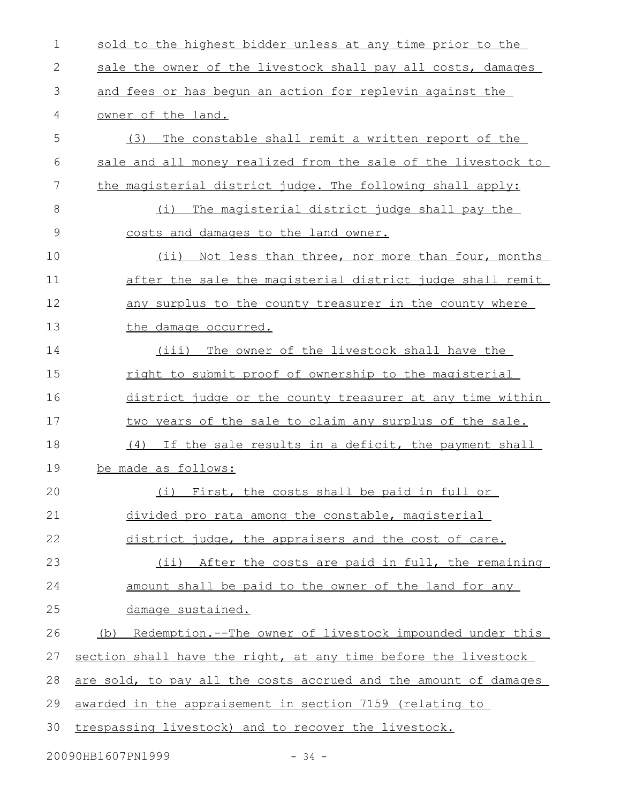| $\mathbf 1$   | sold to the highest bidder unless at any time prior to the       |
|---------------|------------------------------------------------------------------|
| 2             | sale the owner of the livestock shall pay all costs, damages     |
| 3             | and fees or has begun an action for replevin against the         |
| 4             | owner of the land.                                               |
| 5             | The constable shall remit a written report of the<br>(3)         |
| 6             | sale and all money realized from the sale of the livestock to    |
| 7             | the magisterial district judge. The following shall apply:       |
| 8             | (i) The magisterial district judge shall pay the                 |
| $\mathcal{G}$ | costs and damages to the land owner.                             |
| 10            | (ii) Not less than three, nor more than four, months             |
| 11            | after the sale the magisterial district judge shall remit        |
| 12            | any surplus to the county treasurer in the county where          |
| 13            | the damage occurred.                                             |
| 14            | The owner of the livestock shall have the<br>(iii)               |
| 15            | right to submit proof of ownership to the magisterial            |
| 16            | district judge or the county treasurer at any time within        |
| 17            | two years of the sale to claim any surplus of the sale.          |
| 18            | (4) If the sale results in a deficit, the payment shall          |
| 19            | be made as follows:                                              |
| 20            | (i) First, the costs shall be paid in full or                    |
| 21            | divided pro rata among the constable, magisterial                |
| 22            | district judge, the appraisers and the cost of care.             |
| 23            | (ii) After the costs are paid in full, the remaining             |
| 24            | amount shall be paid to the owner of the land for any            |
| 25            | damage sustained.                                                |
| 26            | Redemption.--The owner of livestock impounded under this<br>(b)  |
| 27            | section shall have the right, at any time before the livestock   |
| 28            | are sold, to pay all the costs accrued and the amount of damages |
| 29            | awarded in the appraisement in section 7159 (relating to         |
| 30            | trespassing livestock) and to recover the livestock.             |
|               | 20090HB1607PN1999<br>$-34 -$                                     |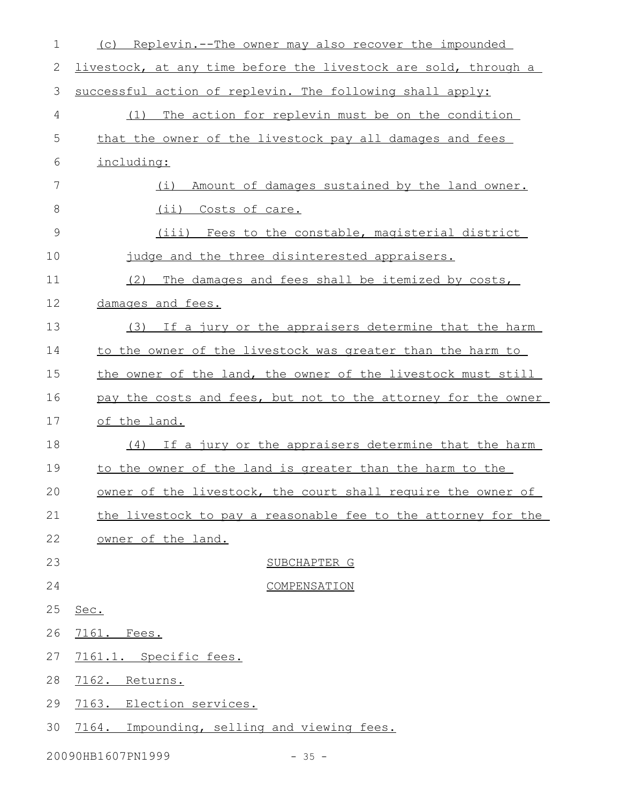| 1             | Replevin.--The owner may also recover the impounded<br>(C)      |
|---------------|-----------------------------------------------------------------|
| 2             | livestock, at any time before the livestock are sold, through a |
| 3             | successful action of replevin. The following shall apply:       |
| 4             | The action for replevin must be on the condition<br>(1)         |
| 5             | that the owner of the livestock pay all damages and fees        |
| 6             | including:                                                      |
| 7             | Amount of damages sustained by the land owner.<br>(i)           |
| $8\,$         | (i)<br>Costs of care.                                           |
| $\mathcal{G}$ | (iii) Fees to the constable, magisterial district               |
| 10            | judge and the three disinterested appraisers.                   |
| 11            | The damages and fees shall be itemized by costs,<br>(2)         |
| 12            | damages and fees.                                               |
| 13            | If a jury or the appraisers determine that the harm<br>(3)      |
| 14            | to the owner of the livestock was greater than the harm to      |
| 15            | the owner of the land, the owner of the livestock must still    |
| 16            | pay the costs and fees, but not to the attorney for the owner   |
| 17            | of the land.                                                    |
| 18            | <u>(4) If a jury or the appraisers determine that the harm</u>  |
| 19            | to the owner of the land is greater than the harm to the        |
| 20            | owner of the livestock, the court shall require the owner of    |
| 21            | the livestock to pay a reasonable fee to the attorney for the   |
| 22            | owner of the land.                                              |
| 23            | SUBCHAPTER G                                                    |
| 24            | COMPENSATION                                                    |
| 25            | Sec.                                                            |
| 26            | 7161. Fees.                                                     |
| 27            | 7161.1. Specific fees.                                          |
| 28            | 7162. Returns.                                                  |
| 29            | 7163. Election services.                                        |
| 30            | 7164. Impounding, selling and viewing fees.                     |
|               |                                                                 |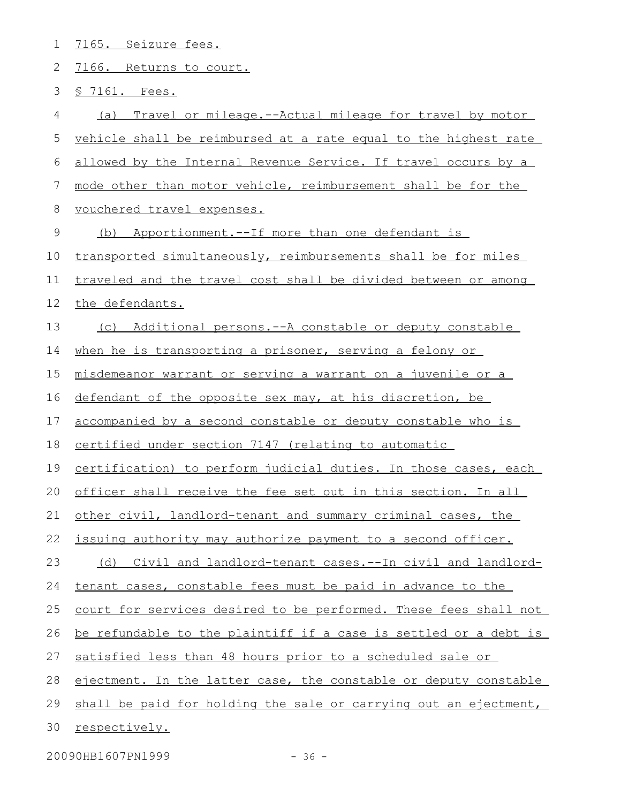| 1            | 7165. Seizure fees.                                              |
|--------------|------------------------------------------------------------------|
| $\mathbf{2}$ | 7166. Returns to court.                                          |
| 3            | § 7161. Fees.                                                    |
| 4            | Travel or mileage.--Actual mileage for travel by motor<br>(a)    |
| 5            | vehicle shall be reimbursed at a rate equal to the highest rate  |
| 6            | allowed by the Internal Revenue Service. If travel occurs by a   |
| 7            | mode other than motor vehicle, reimbursement shall be for the    |
| 8            | vouchered travel expenses.                                       |
| 9            | Apportionment.--If more than one defendant is<br>(b)             |
| 10           | transported simultaneously, reimbursements shall be for miles    |
| 11           | traveled and the travel cost shall be divided between or among   |
| 12           | the defendants.                                                  |
| 13           | (c) Additional persons.--A constable or deputy constable         |
| 14           | when he is transporting a prisoner, serving a felony or          |
| 15           | misdemeanor warrant or serving a warrant on a juvenile or a      |
| 16           | defendant of the opposite sex may, at his discretion, be         |
| 17           | accompanied by a second constable or deputy constable who is     |
| 18           | certified under section 7147 (relating to automatic              |
| 19           | certification) to perform judicial duties. In those cases, each  |
| 20           | officer shall receive the fee set out in this section. In all    |
| 21           | other civil, landlord-tenant and summary criminal cases, the     |
| 22           | issuing authority may authorize payment to a second officer.     |
| 23           | (d) Civil and landlord-tenant cases.--In civil and landlord-     |
| 24           | tenant cases, constable fees must be paid in advance to the      |
| 25           | court for services desired to be performed. These fees shall not |
| 26           | be refundable to the plaintiff if a case is settled or a debt is |
| 27           | satisfied less than 48 hours prior to a scheduled sale or        |
| 28           | ejectment. In the latter case, the constable or deputy constable |
| 29           | shall be paid for holding the sale or carrying out an ejectment, |
| 30           | respectively.                                                    |

20090HB1607PN1999 - 36 -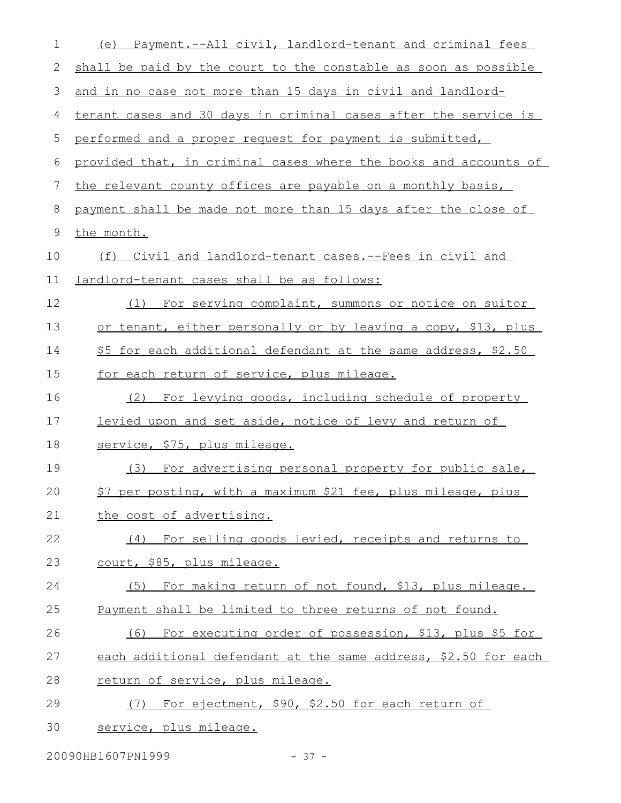| $\mathbf 1$  | (e) Payment.--All civil, landlord-tenant and criminal fees       |
|--------------|------------------------------------------------------------------|
| $\mathbf{2}$ | shall be paid by the court to the constable as soon as possible  |
| 3            | and in no case not more than 15 days in civil and landlord-      |
| 4            | tenant cases and 30 days in criminal cases after the service is  |
| 5            | performed and a proper request for payment is submitted,         |
| 6            | provided that, in criminal cases where the books and accounts of |
| 7            | the relevant county offices are payable on a monthly basis,      |
| $8\,$        | payment shall be made not more than 15 days after the close of   |
| 9            | the month.                                                       |
| 10           | (f) Civil and landlord-tenant cases.--Fees in civil and          |
| 11           | landlord-tenant cases shall be as follows:                       |
| 12           | (1) For serving complaint, summons or notice on suitor           |
| 13           | or tenant, either personally or by leaving a copy, \$13, plus    |
| 14           | \$5 for each additional defendant at the same address, \$2.50    |
| 15           | for each return of service, plus mileage.                        |
| 16           | (2) For levying goods, including schedule of property            |
| 17           | levied upon and set aside, notice of levy and return of          |
| 18           | service, \$75, plus mileage.                                     |
| 19           | (3) For advertising personal property for public sale,           |
| 20           | \$7 per posting, with a maximum \$21 fee, plus mileage, plus     |
| 21           | the cost of advertising.                                         |
| 22           | (4) For selling goods levied, receipts and returns to            |
| 23           | court, \$85, plus mileage.                                       |
| 24           | (5)<br>For making return of not found, \$13, plus mileage.       |
| 25           | Payment shall be limited to three returns of not found.          |
| 26           | For executing order of possession, \$13, plus \$5 for<br>(6)     |
| 27           | each additional defendant at the same address, \$2.50 for each   |
| 28           | return of service, plus mileage.                                 |
| 29           | For ejectment, \$90, \$2.50 for each return of<br>(7)            |
| 30           | service, plus mileage.                                           |

20090HB1607PN1999 - 37 -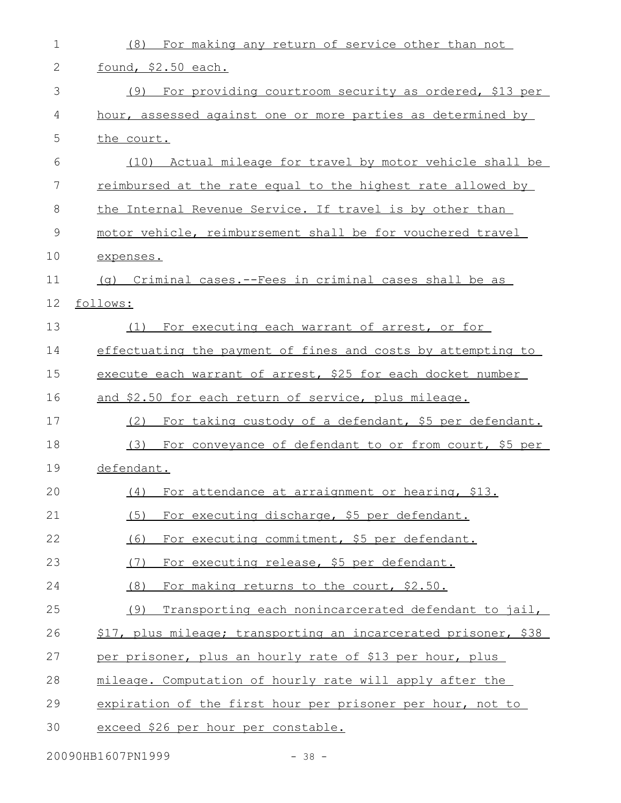| $\mathbf 1$   | (8)<br>For making any return of service other than not          |
|---------------|-----------------------------------------------------------------|
| 2             | <u>found, \$2.50 each.</u>                                      |
| 3             | For providing courtroom security as ordered, \$13 per<br>(9)    |
| 4             | hour, assessed against one or more parties as determined by     |
| 5             | the court.                                                      |
| 6             | Actual mileage for travel by motor vehicle shall be<br>(10)     |
| 7             | reimbursed at the rate equal to the highest rate allowed by     |
| 8             | the Internal Revenue Service. If travel is by other than        |
| $\mathcal{G}$ | motor vehicle, reimbursement shall be for vouchered travel      |
| 10            | expenses.                                                       |
| 11            | (q) Criminal cases.--Fees in criminal cases shall be as         |
| 12            | follows:                                                        |
| 13            | (1) For executing each warrant of arrest, or for                |
| 14            | effectuating the payment of fines and costs by attempting to    |
| 15            | execute each warrant of arrest, \$25 for each docket number     |
| 16            | and \$2.50 for each return of service, plus mileage.            |
| 17            | (2)<br>For taking custody of a defendant, \$5 per defendant.    |
| 18            | (3) For conveyance of defendant to or from court, \$5 per       |
| 19            | defendant.                                                      |
| 20            | $(4)$ For attendance at arraignment or hearing, \$13.           |
| 21            | (5)<br>For executing discharge, \$5 per defendant.              |
| 22            | For executing commitment, \$5 per defendant.<br>(6)             |
| 23            | For executing release, \$5 per defendant.<br>(7)                |
| 24            | (8)<br>For making returns to the court, \$2.50.                 |
| 25            | (9)<br>Transporting each nonincarcerated defendant to jail,     |
| 26            | \$17, plus mileage; transporting an incarcerated prisoner, \$38 |
| 27            | per prisoner, plus an hourly rate of \$13 per hour, plus        |
| 28            | mileage. Computation of hourly rate will apply after the        |
| 29            | expiration of the first hour per prisoner per hour, not to      |
| 30            | exceed \$26 per hour per constable.                             |
|               |                                                                 |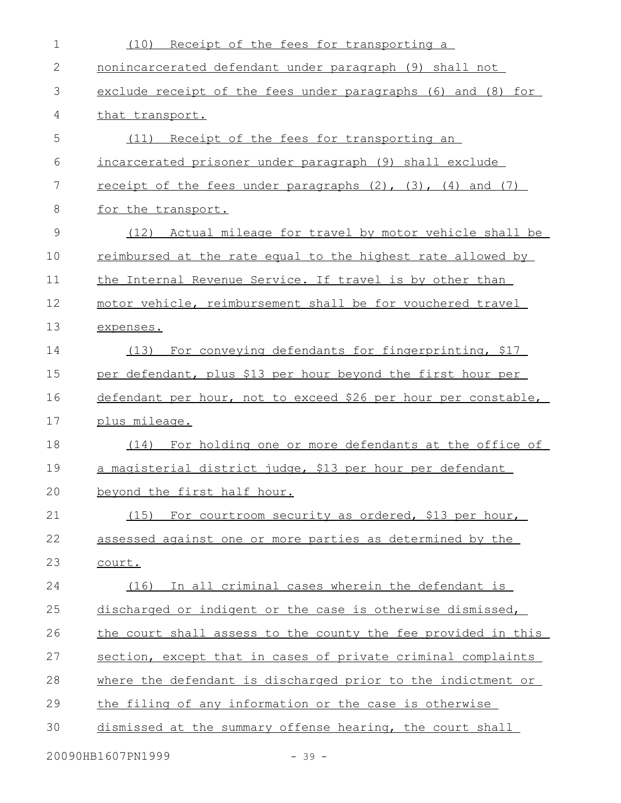| 1             | (10)<br>Receipt of the fees for transporting a                       |
|---------------|----------------------------------------------------------------------|
| $\mathbf{2}$  | nonincarcerated defendant under paragraph (9) shall not              |
| 3             | exclude receipt of the fees under paragraphs (6) and (8) for         |
| 4             | that transport.                                                      |
| 5             | (11) Receipt of the fees for transporting an                         |
| 6             | incarcerated prisoner under paragraph (9) shall exclude              |
| 7             | receipt of the fees under paragraphs $(2)$ , $(3)$ , $(4)$ and $(7)$ |
| 8             | for the transport.                                                   |
| $\mathcal{G}$ | (12) Actual mileage for travel by motor vehicle shall be             |
| 10            | reimbursed at the rate equal to the highest rate allowed by          |
| 11            | the Internal Revenue Service. If travel is by other than             |
| 12            | motor vehicle, reimbursement shall be for vouchered travel           |
| 13            | expenses.                                                            |
| 14            | (13) For conveying defendants for fingerprinting, \$17               |
| 15            | per defendant, plus \$13 per hour beyond the first hour per          |
| 16            | defendant per hour, not to exceed \$26 per hour per constable,       |
| 17            | plus mileage.                                                        |
| 18            | (14) For holding one or more defendants at the office of             |
| 19            | a magisterial district judge, \$13 per hour per defendant            |
| 20            | beyond the first half hour.                                          |
| 21            | (15) For courtroom security as ordered, \$13 per hour,               |
| 22            | assessed against one or more parties as determined by the            |
| 23            | court.                                                               |
| 24            | In all criminal cases wherein the defendant is<br>(16)               |
| 25            | discharged or indigent or the case is otherwise dismissed,           |
| 26            | the court shall assess to the county the fee provided in this        |
| 27            | section, except that in cases of private criminal complaints         |
| 28            | where the defendant is discharged prior to the indictment or         |
|               |                                                                      |
| 29            | the filing of any information or the case is otherwise               |
| 30            | dismissed at the summary offense hearing, the court shall            |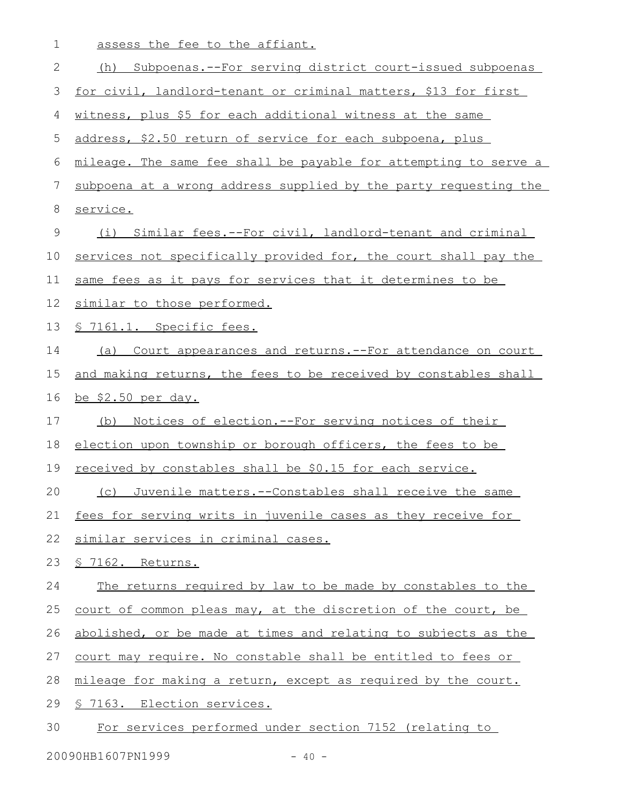| $\mathbf 1$  | assess the fee to the affiant.                                   |
|--------------|------------------------------------------------------------------|
| $\mathbf{2}$ | Subpoenas. -- For serving district court-issued subpoenas<br>(h) |
| 3            | for civil, landlord-tenant or criminal matters, \$13 for first   |
| 4            | witness, plus \$5 for each additional witness at the same        |
| 5            | address, \$2.50 return of service for each subpoena, plus        |
| 6            | mileage. The same fee shall be payable for attempting to serve a |
| 7            | subpoena at a wrong address supplied by the party requesting the |
| 8            | service.                                                         |
| $\mathsf 9$  | (i) Similar fees.--For civil, landlord-tenant and criminal       |
| 10           | services not specifically provided for, the court shall pay the  |
| 11           | same fees as it pays for services that it determines to be       |
| 12           | similar to those performed.                                      |
| 13           | § 7161.1. Specific fees.                                         |
| 14           | (a) Court appearances and returns. -- For attendance on court    |
| 15           | and making returns, the fees to be received by constables shall  |
|              |                                                                  |
| 16           | <u>be \$2.50 per day.</u>                                        |
| 17           | (b) Notices of election.--For serving notices of their           |
| 18           | election upon township or borough officers, the fees to be       |
| 19           | received by constables shall be \$0.15 for each service.         |
| 20           | (c) Juvenile matters.--Constables shall receive the same         |
| 21           | fees for serving writs in juvenile cases as they receive for     |
| 22           | similar services in criminal cases.                              |
| 23           | § 7162. Returns.                                                 |
| 24           | The returns required by law to be made by constables to the      |
| 25           | court of common pleas may, at the discretion of the court, be    |
| 26           | abolished, or be made at times and relating to subjects as the   |
| 27           | court may require. No constable shall be entitled to fees or     |
| 28           | mileage for making a return, except as required by the court.    |
| 29           | § 7163. Election services.                                       |

20090HB1607PN1999 - 40 -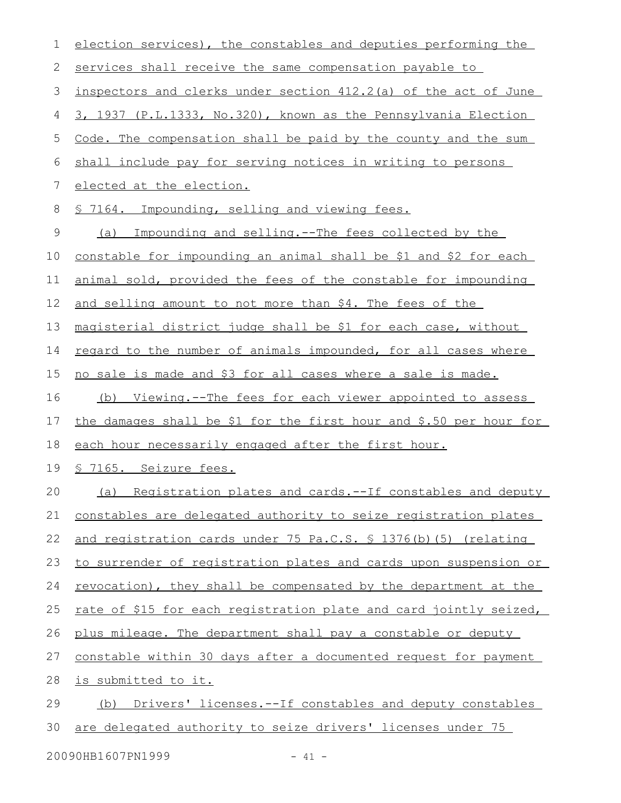| 1           | election services), the constables and deputies performing the         |
|-------------|------------------------------------------------------------------------|
| 2           | services shall receive the same compensation payable to                |
| 3           | inspectors and clerks under section 412.2(a) of the act of June        |
| 4           | 3, 1937 (P.L.1333, No.320), known as the Pennsylvania Election         |
| 5           | Code. The compensation shall be paid by the county and the sum         |
| 6           | shall include pay for serving notices in writing to persons            |
| 7           | elected at the election.                                               |
| 8           | § 7164. Impounding, selling and viewing fees.                          |
| $\mathsf 9$ | Impounding and selling.--The fees collected by the<br>(a)              |
| 10          | constable for impounding an animal shall be \$1 and \$2 for each       |
| 11          | animal sold, provided the fees of the constable for impounding         |
| 12          | and selling amount to not more than \$4. The fees of the               |
| 13          | magisterial district judge shall be \$1 for each case, without         |
| 14          | regard to the number of animals impounded, for all cases where         |
| 15          | no sale is made and \$3 for all cases where a sale is made.            |
| 16          | (b) Viewing.--The fees for each viewer appointed to assess             |
| 17          | the damages shall be \$1 for the first hour and \$.50 per hour for     |
| 18          | each hour necessarily engaged after the first hour.                    |
| 19          | § 7165. Seizure fees.                                                  |
| 20          | (a) Registration plates and cards.--If constables and deputy           |
| 21          | constables are delegated authority to seize registration plates        |
| 22          | and registration cards under 75 Pa.C.S. § 1376(b) (5) (relating        |
| 23          | to surrender of registration plates and cards upon suspension or       |
| 24          | <u>revocation), they shall be compensated by the department at the</u> |
| 25          | rate of \$15 for each registration plate and card jointly seized,      |
| 26          | plus mileage. The department shall pay a constable or deputy           |
| 27          | constable within 30 days after a documented request for payment        |
| 28          | is submitted to it.                                                    |
| 29          | Drivers' licenses.--If constables and deputy constables<br>(b)         |
| 30          | are delegated authority to seize drivers' licenses under 75            |
|             |                                                                        |

20090HB1607PN1999 - 41 -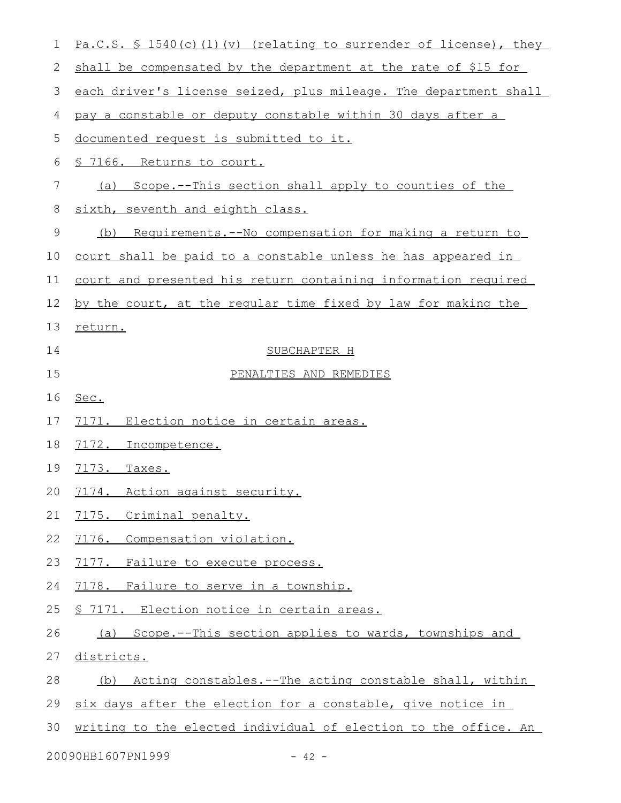| 1  | Pa.C.S. $\frac{1540(c)}{1}$ (v) (relating to surrender of license), they |
|----|--------------------------------------------------------------------------|
| 2  | shall be compensated by the department at the rate of \$15 for           |
| 3  | each driver's license seized, plus mileage. The department shall         |
| 4  | pay a constable or deputy constable within 30 days after a               |
| 5  | documented request is submitted to it.                                   |
| 6  | <u>§ 7166. Returns to court.</u>                                         |
| 7  | Scope.--This section shall apply to counties of the<br>(a)               |
| 8  | sixth, seventh and eighth class.                                         |
| 9  | (b) Requirements.--No compensation for making a return to                |
| 10 | court shall be paid to a constable unless he has appeared in             |
| 11 | court and presented his return containing information required           |
| 12 | by the court, at the regular time fixed by law for making the            |
| 13 | return.                                                                  |
| 14 | SUBCHAPTER H                                                             |
| 15 | PENALTIES AND REMEDIES                                                   |
| 16 | Sec.                                                                     |
| 17 | Election notice in certain areas.<br>7171.                               |
| 18 | Incompetence.<br>7172.                                                   |
| 19 | 7173.<br>Taxes.                                                          |
| 20 | 7174. Action against security.                                           |
| 21 | 7175. Criminal penalty.                                                  |
| 22 | 7176. Compensation violation.                                            |
| 23 | 7177. Failure to execute process.                                        |
| 24 | 7178. Failure to serve in a township.                                    |
| 25 | <u>S 7171. Election notice in certain areas.</u>                         |
| 26 | (a) Scope.--This section applies to wards, townships and                 |
| 27 | districts.                                                               |
| 28 | (b) Acting constables.--The acting constable shall, within               |
| 29 | six days after the election for a constable, give notice in              |
| 30 | writing to the elected individual of election to the office. An          |
|    |                                                                          |

20090HB1607PN1999 - 42 -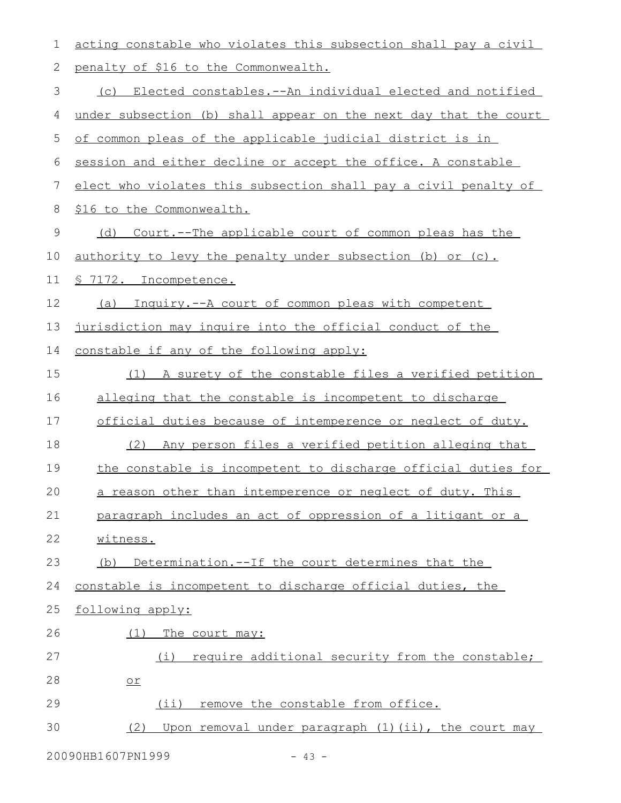| 1  | acting constable who violates this subsection shall pay a civil  |
|----|------------------------------------------------------------------|
| 2  | penalty of \$16 to the Commonwealth.                             |
| 3  | (c) Elected constables.--An individual elected and notified      |
| 4  | under subsection (b) shall appear on the next day that the court |
| 5  | of common pleas of the applicable judicial district is in        |
| 6  | session and either decline or accept the office. A constable     |
| 7  | elect who violates this subsection shall pay a civil penalty of  |
| 8  | \$16 to the Commonwealth.                                        |
| 9  | Court.--The applicable court of common pleas has the<br>(d)      |
| 10 | authority to levy the penalty under subsection (b) or (c).       |
| 11 | § 7172. Incompetence.                                            |
| 12 | (a) Inquiry.--A court of common pleas with competent             |
| 13 | jurisdiction may inquire into the official conduct of the        |
| 14 | constable if any of the following apply:                         |
| 15 | A surety of the constable files a verified petition<br>(1)       |
| 16 | alleging that the constable is incompetent to discharge          |
| 17 | official duties because of intemperence or neglect of duty.      |
| 18 | Any person files a verified petition alleging that<br>(2)        |
| 19 | the constable is incompetent to discharge official duties for    |
| 20 | a reason other than intemperence or neglect of duty. This        |
| 21 | paragraph includes an act of oppression of a litigant or a       |
| 22 | witness.                                                         |
| 23 | Determination.--If the court determines that the<br>(b)          |
| 24 | constable is incompetent to discharge official duties, the       |
| 25 | following apply:                                                 |
| 26 | The court may:<br>(1)                                            |
| 27 | require additional security from the constable;<br>(i)           |
| 28 | $or$                                                             |
| 29 | $(i$ i)<br>remove the constable from office.                     |
| 30 | Upon removal under paragraph (1)(ii), the court may<br>(2)       |
|    | 20090HB1607PN1999<br>$-43 -$                                     |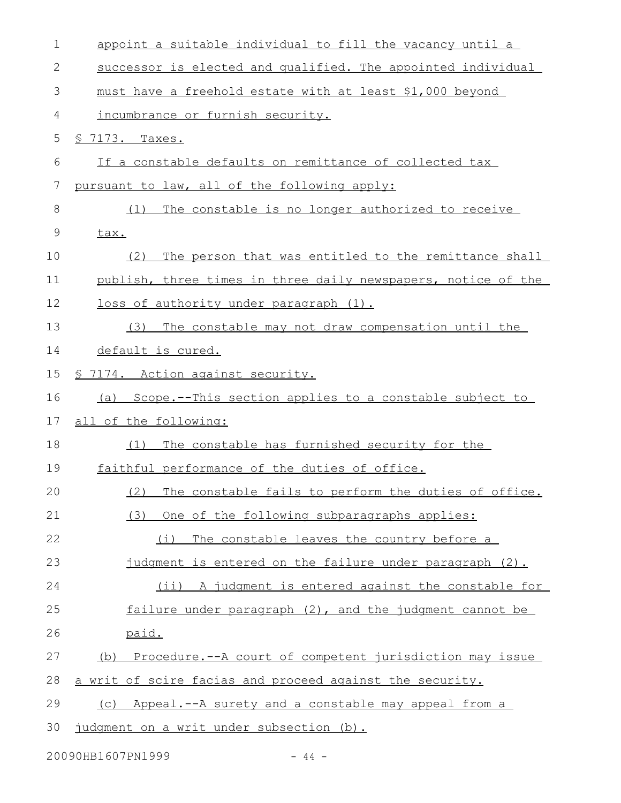| 1               | appoint a suitable individual to fill the vacancy until a     |
|-----------------|---------------------------------------------------------------|
| 2               | successor is elected and qualified. The appointed individual  |
| 3               | must have a freehold estate with at least \$1,000 beyond      |
| 4               | incumbrance or furnish security.                              |
| 5               | § 7173. Taxes.                                                |
| 6               | If a constable defaults on remittance of collected tax        |
| $7\phantom{.0}$ | pursuant to law, all of the following apply:                  |
| 8               | The constable is no longer authorized to receive<br>(1)       |
| $\mathsf 9$     | tax.                                                          |
| 10              | The person that was entitled to the remittance shall<br>(2)   |
| 11              | publish, three times in three daily newspapers, notice of the |
| 12              | loss of authority under paragraph (1).                        |
| 13              | (3)<br>The constable may not draw compensation until the      |
| 14              | default is cured.                                             |
| 15              | § 7174. Action against security.                              |
| 16              | Scope.--This section applies to a constable subject to<br>(a) |
| 17              | all of the following:                                         |
| 18              | The constable has furnished security for the<br>(1)           |
| 19              | faithful performance of the duties of office.                 |
| 20              | The constable fails to perform the duties of office<br>(2)    |
| 21              | One of the following subparagraphs applies:<br>(3)            |
| 22              | (i) The constable leaves the country before a                 |
| 23              | judgment is entered on the failure under paragraph (2).       |
| 24              | (ii) A judgment is entered against the constable for          |
| 25              | failure under paragraph (2), and the judgment cannot be       |
| 26              | paid.                                                         |
| 27              | (b) Procedure.--A court of competent jurisdiction may issue   |
| 28              | a writ of scire facias and proceed against the security.      |
| 29              | Appeal.--A surety and a constable may appeal from a<br>(C)    |
| 30              | judgment on a writ under subsection (b).                      |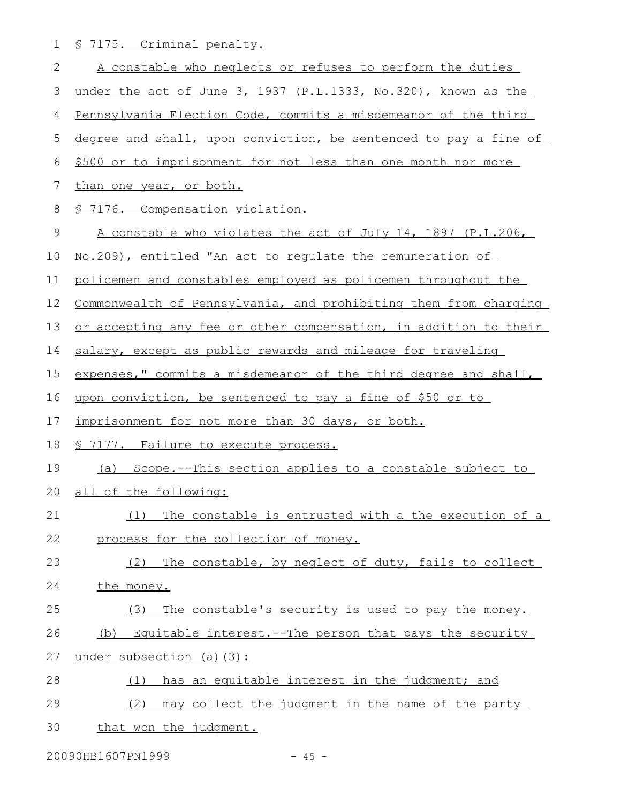1 § 7175. Criminal penalty.

| $\mathbf{2}$ | A constable who neglects or refuses to perform the duties        |
|--------------|------------------------------------------------------------------|
| 3            | under the act of June 3, 1937 (P.L.1333, No.320), known as the   |
| 4            | Pennsylvania Election Code, commits a misdemeanor of the third   |
| 5            | degree and shall, upon conviction, be sentenced to pay a fine of |
| 6            | \$500 or to imprisonment for not less than one month nor more    |
| 7            | than one year, or both.                                          |
| 8            | <u>S 7176. Compensation violation.</u>                           |
| 9            | A constable who violates the act of July 14, 1897 (P.L.206,      |
| 10           | No.209), entitled "An act to regulate the remuneration of        |
| 11           | policemen and constables employed as policemen throughout the    |
| 12           | Commonwealth of Pennsylvania, and prohibiting them from charging |
| 13           | or accepting any fee or other compensation, in addition to their |
| 14           | salary, except as public rewards and mileage for traveling       |
| 15           | expenses," commits a misdemeanor of the third degree and shall,  |
| 16           | upon conviction, be sentenced to pay a fine of \$50 or to        |
| 17           | imprisonment for not more than 30 days, or both.                 |
| 18           | § 7177. Failure to execute process.                              |
| 19           | (a) Scope.--This section applies to a constable subject to       |
| 20           | all of the following:                                            |
| 21           | The constable is entrusted with a the execution of a<br>(1)      |
| 22           | process for the collection of money.                             |
| 23           | The constable, by neglect of duty, fails to collect<br>(2)       |
| 24           | the money.                                                       |
| 25           | The constable's security is used to pay the money.<br>(3)        |
| 26           | Equitable interest. -- The person that pays the security<br>(b)  |
| 27           | under subsection (a) (3):                                        |
| 28           | has an equitable interest in the judgment; and<br>(1)            |
| 29           | (2)<br>may collect the judgment in the name of the party         |
| 30           | that won the judgment.                                           |

20090HB1607PN1999 - 45 -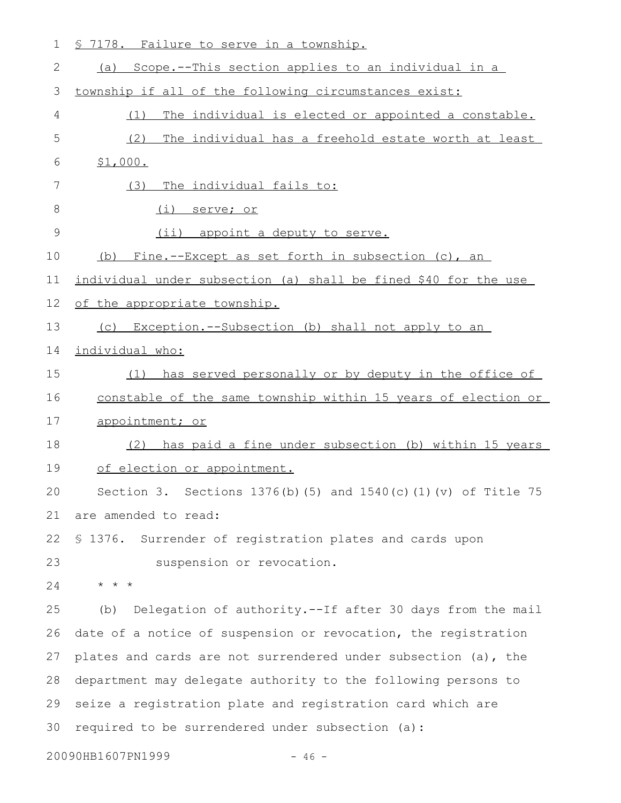1 § 7178. Failure to serve in a township.

| $\mathbf{2}$  | (a) Scope.--This section applies to an individual in a              |
|---------------|---------------------------------------------------------------------|
|               |                                                                     |
| 3             | township if all of the following circumstances exist:               |
| 4             | The individual is elected or appointed a constable.<br>(1)          |
| 5             | (2)<br>The individual has a freehold estate worth at least          |
| 6             | \$1,000.                                                            |
| 7             | The individual fails to:<br>(3)                                     |
| 8             | (i)<br>serve; or                                                    |
| $\mathcal{G}$ | (ii) appoint a deputy to serve.                                     |
| 10            | (b) Fine.--Except as set forth in subsection (c), an                |
| 11            | individual under subsection (a) shall be fined \$40 for the use     |
| 12            | of the appropriate township.                                        |
| 13            | (c) Exception.--Subsection (b) shall not apply to an                |
| 14            | individual who:                                                     |
| 15            | has served personally or by deputy in the office of<br>(1)          |
| 16            | constable of the same township within 15 years of election or       |
| 17            | appointment; or                                                     |
| 18            | has paid a fine under subsection (b) within 15 years<br>(2)         |
| 19            | of election or appointment.                                         |
| 20            | Section 3. Sections $1376(b)$ (5) and $1540(c)$ (1) (v) of Title 75 |
| 21            | are amended to read:                                                |
| 22            | S 1376.<br>Surrender of registration plates and cards upon          |
| 23            | suspension or revocation.                                           |
| 24            | $\star$ $\star$ $\star$                                             |
| 25            | Delegation of authority.--If after 30 days from the mail<br>(b)     |
| 26            | date of a notice of suspension or revocation, the registration      |
| 27            | plates and cards are not surrendered under subsection (a), the      |
| 28            | department may delegate authority to the following persons to       |
| 29            | seize a registration plate and registration card which are          |
| 30            | required to be surrendered under subsection (a):                    |
|               | 20090HB1607PN1999<br>$-46 -$                                        |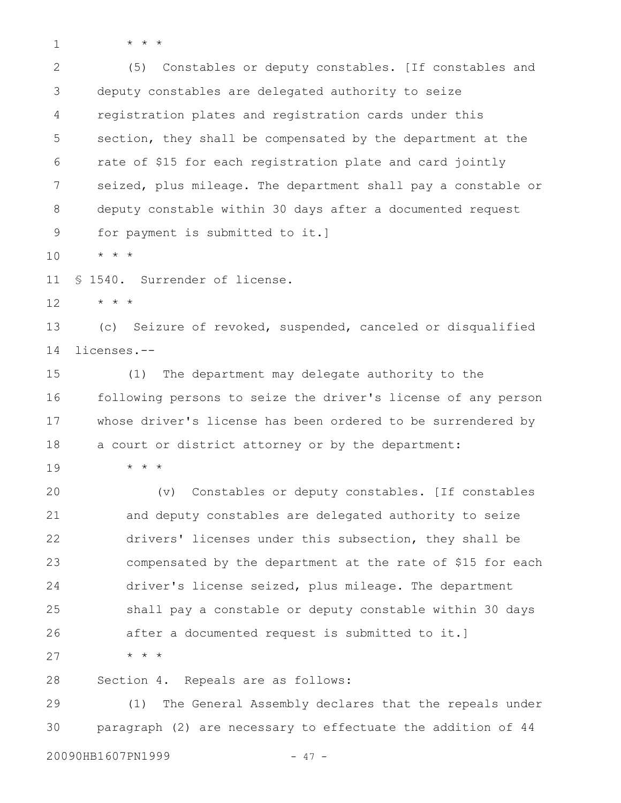1

\* \* \*

(5) Constables or deputy constables. [If constables and deputy constables are delegated authority to seize registration plates and registration cards under this section, they shall be compensated by the department at the rate of \$15 for each registration plate and card jointly seized, plus mileage. The department shall pay a constable or deputy constable within 30 days after a documented request for payment is submitted to it.] 2 3 4 5 6 7 8 9

\* \* \* 10

§ 1540. Surrender of license. 11

\* \* \* 12

(c) Seizure of revoked, suspended, canceled or disqualified licenses.-- 13 14

(1) The department may delegate authority to the following persons to seize the driver's license of any person whose driver's license has been ordered to be surrendered by a court or district attorney or by the department: 15 16 17 18

\* \* \* 19

(v) Constables or deputy constables. [If constables and deputy constables are delegated authority to seize drivers' licenses under this subsection, they shall be compensated by the department at the rate of \$15 for each driver's license seized, plus mileage. The department shall pay a constable or deputy constable within 30 days after a documented request is submitted to it.] \* \* \* 20 21 22 23 24 25 26 27

Section 4. Repeals are as follows: 28

(1) The General Assembly declares that the repeals under paragraph (2) are necessary to effectuate the addition of 44 29 30

20090HB1607PN1999 - 47 -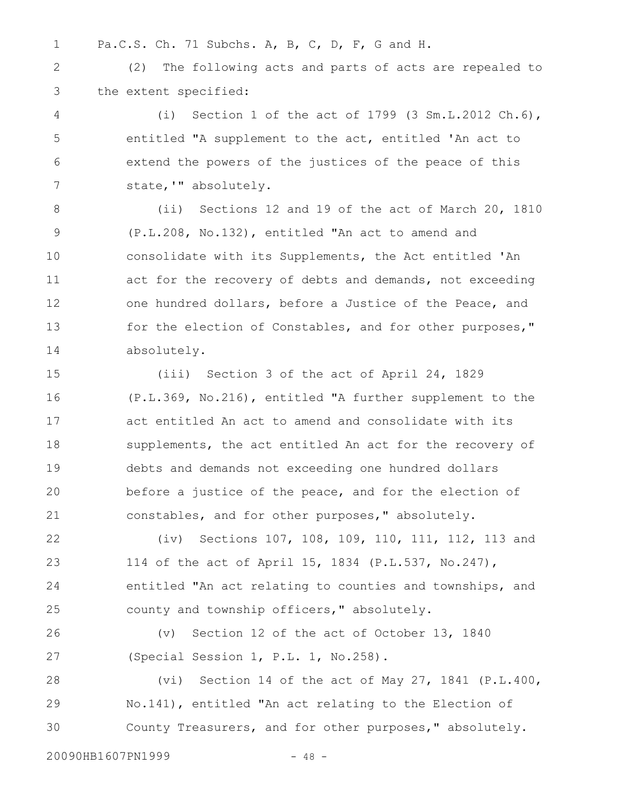1

Pa.C.S. Ch. 71 Subchs. A, B, C, D, F, G and H.

(2) The following acts and parts of acts are repealed to the extent specified: 2 3

(i) Section 1 of the act of 1799 (3 Sm.L.2012 Ch.6), entitled "A supplement to the act, entitled 'An act to extend the powers of the justices of the peace of this state,'" absolutely. 4 5 6 7

(ii) Sections 12 and 19 of the act of March 20, 1810 (P.L.208, No.132), entitled "An act to amend and consolidate with its Supplements, the Act entitled 'An act for the recovery of debts and demands, not exceeding one hundred dollars, before a Justice of the Peace, and for the election of Constables, and for other purposes," absolutely. 8 9 10 11 12 13 14

(iii) Section 3 of the act of April 24, 1829 (P.L.369, No.216), entitled "A further supplement to the act entitled An act to amend and consolidate with its supplements, the act entitled An act for the recovery of debts and demands not exceeding one hundred dollars before a justice of the peace, and for the election of constables, and for other purposes," absolutely. 15 16 17 18 19 20 21

(iv) Sections 107, 108, 109, 110, 111, 112, 113 and 114 of the act of April 15, 1834 (P.L.537, No.247), entitled "An act relating to counties and townships, and county and township officers," absolutely. 22 23 24 25

(v) Section 12 of the act of October 13, 1840 (Special Session 1, P.L. 1, No.258). 26 27

(vi) Section 14 of the act of May 27, 1841 (P.L.400, No.141), entitled "An act relating to the Election of County Treasurers, and for other purposes," absolutely. 28 29 30

20090HB1607PN1999 - 48 -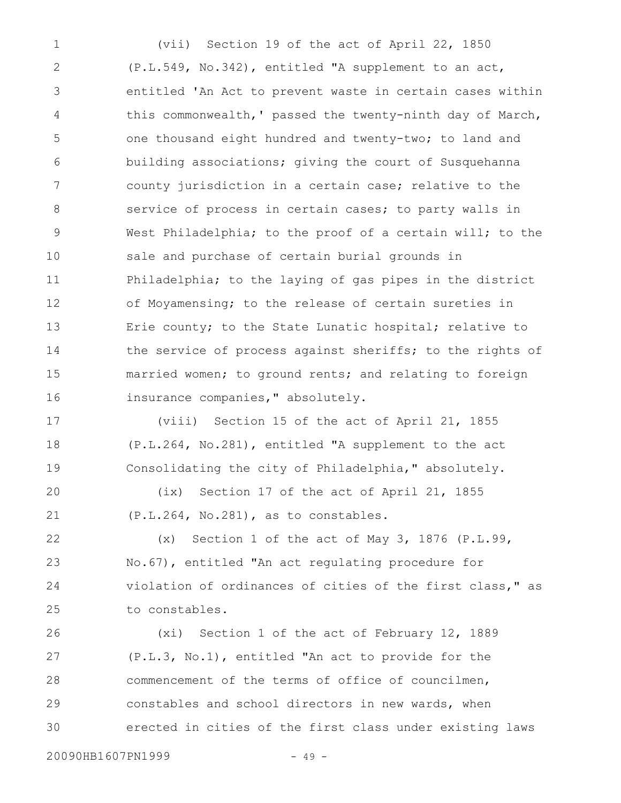(vii) Section 19 of the act of April 22, 1850 (P.L.549, No.342), entitled "A supplement to an act, entitled 'An Act to prevent waste in certain cases within this commonwealth,' passed the twenty-ninth day of March, one thousand eight hundred and twenty-two; to land and building associations; giving the court of Susquehanna county jurisdiction in a certain case; relative to the service of process in certain cases; to party walls in West Philadelphia; to the proof of a certain will; to the sale and purchase of certain burial grounds in Philadelphia; to the laying of gas pipes in the district of Moyamensing; to the release of certain sureties in Erie county; to the State Lunatic hospital; relative to the service of process against sheriffs; to the rights of married women; to ground rents; and relating to foreign insurance companies," absolutely. 1 2 3 4 5 6 7 8 9 10 11 12 13 14 15 16

(viii) Section 15 of the act of April 21, 1855 (P.L.264, No.281), entitled "A supplement to the act Consolidating the city of Philadelphia," absolutely. 17 18 19

(ix) Section 17 of the act of April 21, 1855 (P.L.264, No.281), as to constables. 20 21

(x) Section 1 of the act of May 3, 1876 (P.L.99, No.67), entitled "An act regulating procedure for violation of ordinances of cities of the first class," as to constables. 22 23 24 25

(xi) Section 1 of the act of February 12, 1889 (P.L.3, No.1), entitled "An act to provide for the commencement of the terms of office of councilmen, constables and school directors in new wards, when erected in cities of the first class under existing laws 26 27 28 29 30

20090HB1607PN1999 - 49 -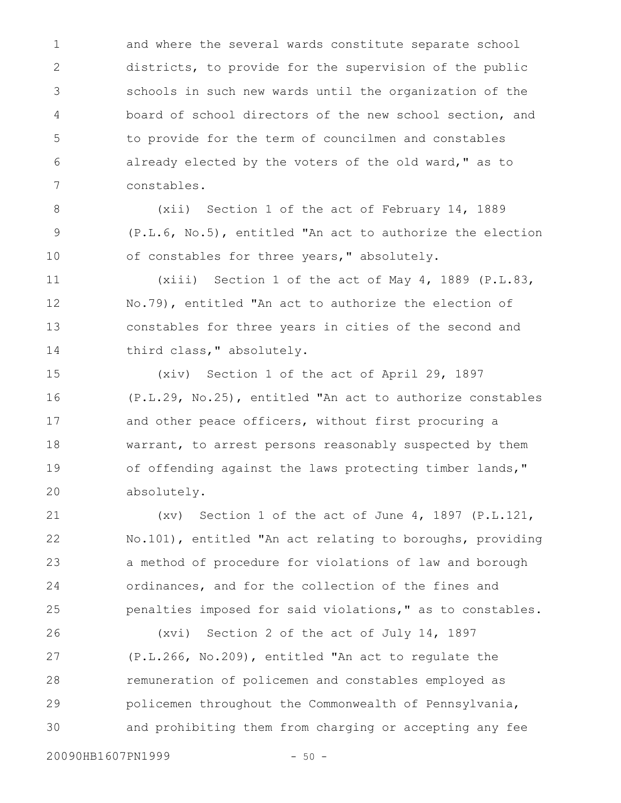and where the several wards constitute separate school districts, to provide for the supervision of the public schools in such new wards until the organization of the board of school directors of the new school section, and to provide for the term of councilmen and constables already elected by the voters of the old ward," as to constables. 1 2 3 4 5 6 7

(xii) Section 1 of the act of February 14, 1889 (P.L.6, No.5), entitled "An act to authorize the election of constables for three years," absolutely.

(xiii) Section 1 of the act of May 4, 1889 (P.L.83, No.79), entitled "An act to authorize the election of constables for three years in cities of the second and third class," absolutely. 11 12 13 14

(xiv) Section 1 of the act of April 29, 1897 (P.L.29, No.25), entitled "An act to authorize constables and other peace officers, without first procuring a warrant, to arrest persons reasonably suspected by them of offending against the laws protecting timber lands," absolutely. 15 16 17 18 19 20

(xv) Section 1 of the act of June 4, 1897 (P.L.121, No.101), entitled "An act relating to boroughs, providing a method of procedure for violations of law and borough ordinances, and for the collection of the fines and penalties imposed for said violations," as to constables. 21 22 23 24 25

(xvi) Section 2 of the act of July 14, 1897 (P.L.266, No.209), entitled "An act to regulate the remuneration of policemen and constables employed as policemen throughout the Commonwealth of Pennsylvania, and prohibiting them from charging or accepting any fee 26 27 28 29 30

20090HB1607PN1999 - 50 -

8

9

10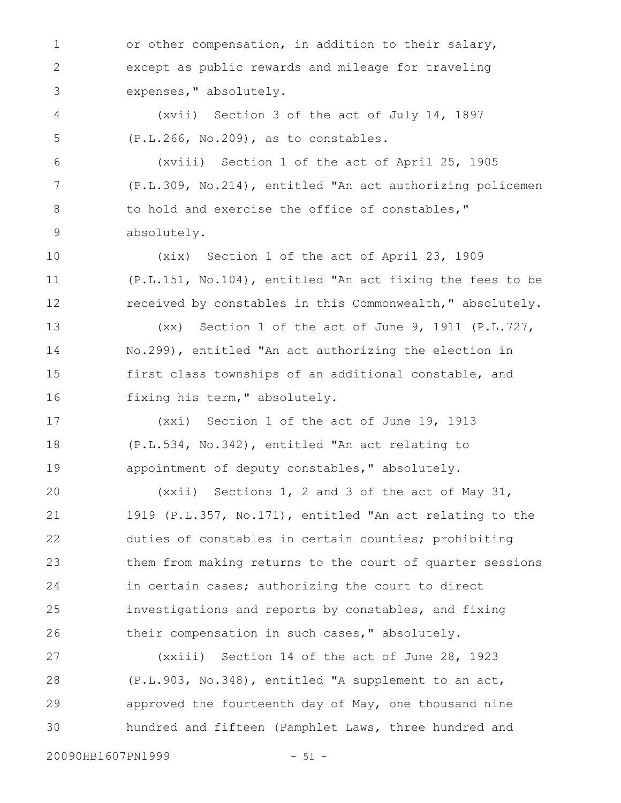or other compensation, in addition to their salary, except as public rewards and mileage for traveling expenses," absolutely. 1 2 3

(xvii) Section 3 of the act of July 14, 1897 (P.L.266, No.209), as to constables. 4 5

(xviii) Section 1 of the act of April 25, 1905 (P.L.309, No.214), entitled "An act authorizing policemen to hold and exercise the office of constables," absolutely. 6 7 8 9

(xix) Section 1 of the act of April 23, 1909 (P.L.151, No.104), entitled "An act fixing the fees to be received by constables in this Commonwealth," absolutely. 10 11 12

(xx) Section 1 of the act of June 9, 1911 (P.L.727, No.299), entitled "An act authorizing the election in first class townships of an additional constable, and fixing his term," absolutely. 13 14 15 16

(xxi) Section 1 of the act of June 19, 1913 (P.L.534, No.342), entitled "An act relating to appointment of deputy constables," absolutely. 17 18 19

(xxii) Sections 1, 2 and 3 of the act of May 31, 1919 (P.L.357, No.171), entitled "An act relating to the duties of constables in certain counties; prohibiting them from making returns to the court of quarter sessions in certain cases; authorizing the court to direct investigations and reports by constables, and fixing their compensation in such cases," absolutely. 20 21 22 23 24 25 26

(xxiii) Section 14 of the act of June 28, 1923 (P.L.903, No.348), entitled "A supplement to an act, approved the fourteenth day of May, one thousand nine hundred and fifteen (Pamphlet Laws, three hundred and 27 28 29 30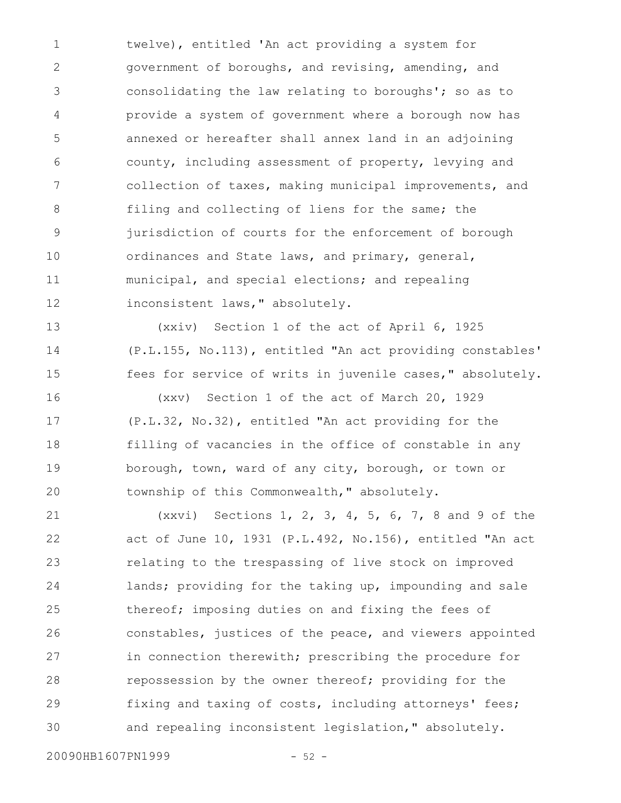twelve), entitled 'An act providing a system for government of boroughs, and revising, amending, and consolidating the law relating to boroughs'; so as to provide a system of government where a borough now has annexed or hereafter shall annex land in an adjoining county, including assessment of property, levying and collection of taxes, making municipal improvements, and filing and collecting of liens for the same; the jurisdiction of courts for the enforcement of borough ordinances and State laws, and primary, general, municipal, and special elections; and repealing inconsistent laws," absolutely. 1 2 3 4 5 6 7 8 9 10 11 12

(xxiv) Section 1 of the act of April 6, 1925 (P.L.155, No.113), entitled "An act providing constables' fees for service of writs in juvenile cases," absolutely. 13 14 15

(xxv) Section 1 of the act of March 20, 1929 (P.L.32, No.32), entitled "An act providing for the filling of vacancies in the office of constable in any borough, town, ward of any city, borough, or town or township of this Commonwealth," absolutely. 16 17 18 19 20

(xxvi) Sections 1, 2, 3, 4, 5, 6, 7, 8 and 9 of the act of June 10, 1931 (P.L.492, No.156), entitled "An act relating to the trespassing of live stock on improved lands; providing for the taking up, impounding and sale thereof; imposing duties on and fixing the fees of constables, justices of the peace, and viewers appointed in connection therewith; prescribing the procedure for repossession by the owner thereof; providing for the fixing and taxing of costs, including attorneys' fees; and repealing inconsistent legislation," absolutely. 21 22 23 24 25 26 27 28 29 30

20090HB1607PN1999 - 52 -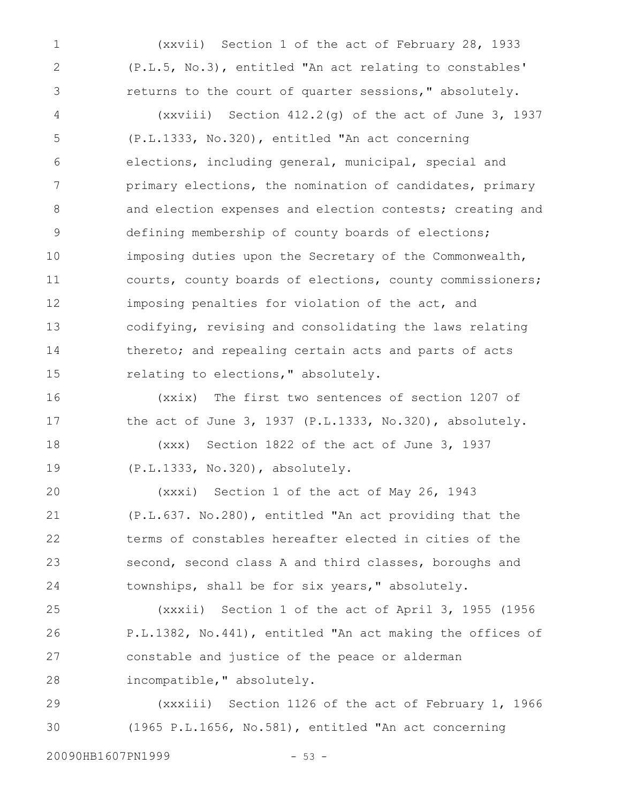(xxvii) Section 1 of the act of February 28, 1933 (P.L.5, No.3), entitled "An act relating to constables' returns to the court of quarter sessions," absolutely.

(xxviii) Section 412.2(g) of the act of June 3, 1937 (P.L.1333, No.320), entitled "An act concerning elections, including general, municipal, special and primary elections, the nomination of candidates, primary and election expenses and election contests; creating and defining membership of county boards of elections; imposing duties upon the Secretary of the Commonwealth, courts, county boards of elections, county commissioners; imposing penalties for violation of the act, and codifying, revising and consolidating the laws relating thereto; and repealing certain acts and parts of acts relating to elections," absolutely. 4 5 6 7 8 9 10 11 12 13 14 15

(xxix) The first two sentences of section 1207 of the act of June 3, 1937 (P.L.1333, No.320), absolutely. 16 17

(xxx) Section 1822 of the act of June 3, 1937 (P.L.1333, No.320), absolutely. 18 19

(xxxi) Section 1 of the act of May 26, 1943 (P.L.637. No.280), entitled "An act providing that the terms of constables hereafter elected in cities of the second, second class A and third classes, boroughs and townships, shall be for six years," absolutely. 20 21 22 23 24

(xxxii) Section 1 of the act of April 3, 1955 (1956 P.L.1382, No.441), entitled "An act making the offices of constable and justice of the peace or alderman incompatible," absolutely. 25 26 27 28

(xxxiii) Section 1126 of the act of February 1, 1966 (1965 P.L.1656, No.581), entitled "An act concerning 29 30

20090HB1607PN1999 - 53 -

1

2

3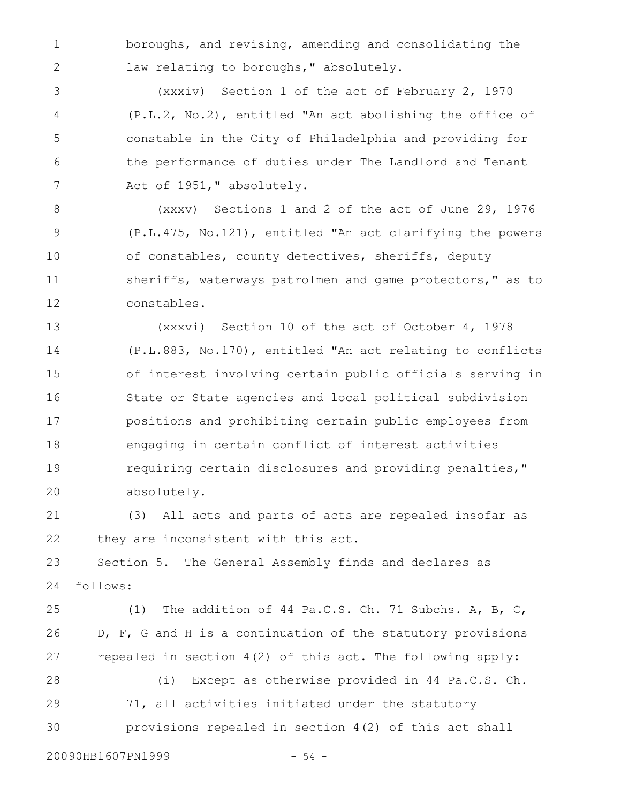boroughs, and revising, amending and consolidating the law relating to boroughs, " absolutely. 1 2

(xxxiv) Section 1 of the act of February 2, 1970 (P.L.2, No.2), entitled "An act abolishing the office of constable in the City of Philadelphia and providing for the performance of duties under The Landlord and Tenant Act of 1951," absolutely. 3 4 5 6 7

(xxxv) Sections 1 and 2 of the act of June 29, 1976 (P.L.475, No.121), entitled "An act clarifying the powers of constables, county detectives, sheriffs, deputy sheriffs, waterways patrolmen and game protectors," as to constables. 8 9 10 11 12

(xxxvi) Section 10 of the act of October 4, 1978 (P.L.883, No.170), entitled "An act relating to conflicts of interest involving certain public officials serving in State or State agencies and local political subdivision positions and prohibiting certain public employees from engaging in certain conflict of interest activities requiring certain disclosures and providing penalties," absolutely. 13 14 15 16 17 18 19 20

(3) All acts and parts of acts are repealed insofar as they are inconsistent with this act. 21 22

Section 5. The General Assembly finds and declares as follows: 23 24

(1) The addition of 44 Pa.C.S. Ch. 71 Subchs. A, B, C, D, F, G and H is a continuation of the statutory provisions repealed in section 4(2) of this act. The following apply: (i) Except as otherwise provided in 44 Pa.C.S. Ch. 25 26 27 28

71, all activities initiated under the statutory provisions repealed in section 4(2) of this act shall 29 30

20090HB1607PN1999 - 54 -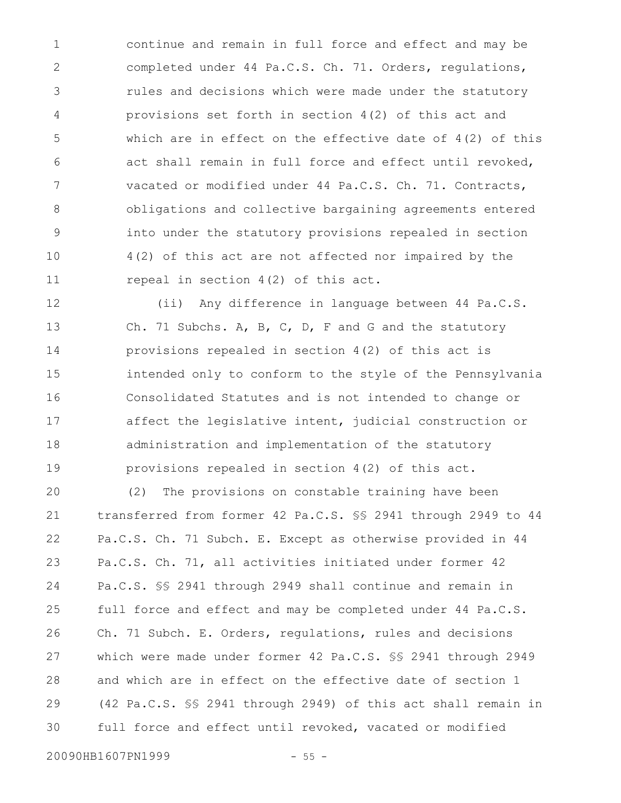continue and remain in full force and effect and may be completed under 44 Pa.C.S. Ch. 71. Orders, regulations, rules and decisions which were made under the statutory provisions set forth in section 4(2) of this act and which are in effect on the effective date of 4(2) of this act shall remain in full force and effect until revoked, vacated or modified under 44 Pa.C.S. Ch. 71. Contracts, obligations and collective bargaining agreements entered into under the statutory provisions repealed in section 4(2) of this act are not affected nor impaired by the repeal in section 4(2) of this act. 1 2 3 4 5 6 7 8 9 10 11

(ii) Any difference in language between 44 Pa.C.S. Ch. 71 Subchs. A, B, C, D, F and G and the statutory provisions repealed in section 4(2) of this act is intended only to conform to the style of the Pennsylvania Consolidated Statutes and is not intended to change or affect the legislative intent, judicial construction or administration and implementation of the statutory provisions repealed in section 4(2) of this act. 12 13 14 15 16 17 18 19

(2) The provisions on constable training have been transferred from former 42 Pa.C.S. §§ 2941 through 2949 to 44 Pa.C.S. Ch. 71 Subch. E. Except as otherwise provided in 44 Pa.C.S. Ch. 71, all activities initiated under former 42 Pa.C.S. §§ 2941 through 2949 shall continue and remain in full force and effect and may be completed under 44 Pa.C.S. Ch. 71 Subch. E. Orders, regulations, rules and decisions which were made under former 42 Pa.C.S. §§ 2941 through 2949 and which are in effect on the effective date of section 1 (42 Pa.C.S. §§ 2941 through 2949) of this act shall remain in full force and effect until revoked, vacated or modified 20 21 22 23 24 25 26 27 28 29 30